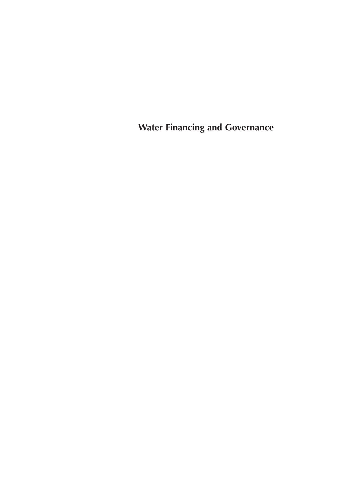**Water Financing and Governance**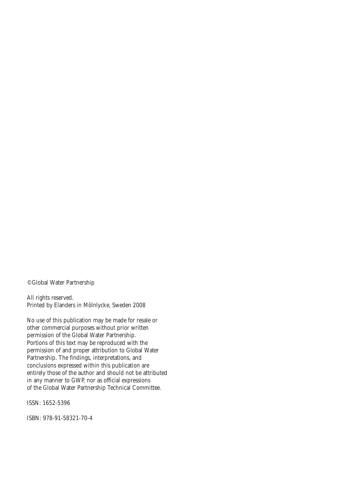©Global Water Partnership

All rights reserved. Printed by Elanders in Mölnlycke, Sweden 2008

No use of this publication may be made for resale or other commercial purposes without prior written permission of the Global Water Partnership. Portions of this text may be reproduced with the permission of and proper attribution to Global Water Partnership. The findings, interpretations, and conclusions expressed within this publication are entirely those of the author and should not be attributed in any manner to GWP, nor as official expressions of the Global Water Partnership Technical Committee.

ISSN: 1652-5396

ISBN: 978-91-58321-70-4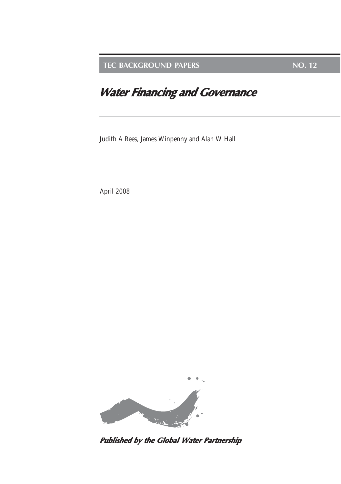**TEC BACKGROUND PAPERS NO. 12** 

# **Water Financing and Governance**

Judith A Rees, James Winpenny and Alan W Hall

April 2008



**Published by the Global Water Partnership**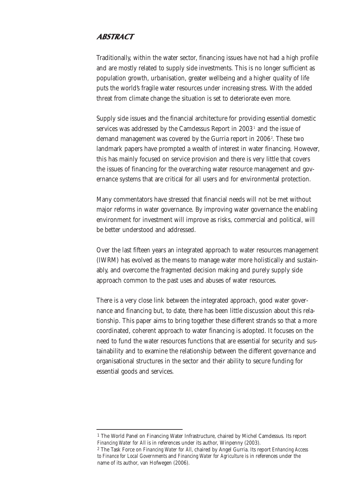## **ABSTRACT**

Traditionally, within the water sector, financing issues have not had a high profile and are mostly related to supply side investments. This is no longer sufficient as population growth, urbanisation, greater wellbeing and a higher quality of life puts the world's fragile water resources under increasing stress. With the added threat from climate change the situation is set to deteriorate even more.

Supply side issues and the financial architecture for providing essential domestic services was addressed by the Camdessus Report in 2003<sup>1</sup> and the issue of demand management was covered by the Gurria report in 2006?. These two landmark papers have prompted a wealth of interest in water financing. However, this has mainly focused on service provision and there is very little that covers the issues of financing for the overarching water resource management and governance systems that are critical for all users and for environmental protection.

Many commentators have stressed that financial needs will not be met without major reforms in water governance. By improving water governance the enabling environment for investment will improve as risks, commercial and political, will be better understood and addressed.

Over the last fifteen years an integrated approach to water resources management (IWRM) has evolved as the means to manage water more holistically and sustainably, and overcome the fragmented decision making and purely supply side approach common to the past uses and abuses of water resources.

There is a very close link between the integrated approach, good water governance and financing but, to date, there has been little discussion about this relationship. This paper aims to bring together these different strands so that a more coordinated, coherent approach to water financing is adopted. It focuses on the need to fund the water resources functions that are essential for security and sustainability and to examine the relationship between the different governance and organisational structures in the sector and their ability to secure funding for essential goods and services.

<sup>1</sup> The World Panel on Financing Water Infrastructure, chaired by Michel Camdessus. Its report *Financing Water for All* is in references under its author, Winpenny (2003).

<sup>2</sup> The Task Force on *Financing Water for All,* chaired by Angel Gurria. Its report *Enhancing Access to Finance for Local Governments* and *Financing Water for Agriculture* is in references under the name of its author, van Hofwegen (2006).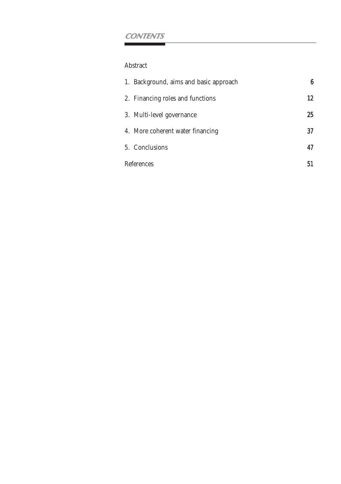## **CONTENTS**

## Abstract

| 1. Background, aims and basic approach | в  |
|----------------------------------------|----|
| 2. Financing roles and functions       | 12 |
| 3. Multi-level governance              | 25 |
| 4. More coherent water financing       | 37 |
| 5. Conclusions                         | 47 |
| References                             |    |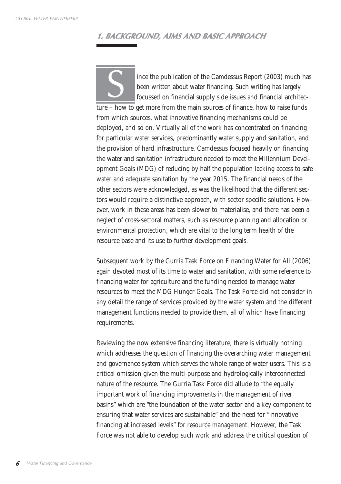## **1. BACKGROUND, AIMS AND BASIC APPROACH**

ince the publication of the Camdessus Report (2003) much has been written about water financing. Such writing has largely focussed on financial supply side issues and financial architec-Somether publication of the Camdessus Report (2003) much have been written about water financing. Such writing has largely focussed on financial supply side issues and financial architecture – how to get more from the main from which sources, what innovative financing mechanisms could be deployed, and so on. Virtually all of the work has concentrated on financing for particular water services, predominantly water supply and sanitation, and the provision of hard infrastructure. Camdessus focused heavily on financing the water and sanitation infrastructure needed to meet the Millennium Development Goals (MDG) of reducing by half the population lacking access to safe water and adequate sanitation by the year 2015. The financial needs of the other sectors were acknowledged, as was the likelihood that the different sectors would require a distinctive approach, with sector specific solutions. However, work in these areas has been slower to materialise, and there has been a neglect of cross-sectoral matters, such as resource planning and allocation or environmental protection, which are vital to the long term health of the resource base and its use to further development goals.

Subsequent work by the Gurria Task Force on Financing Water for All (2006) again devoted most of its time to water and sanitation, with some reference to financing water for agriculture and the funding needed to manage water resources to meet the MDG Hunger Goals. The Task Force did not consider in any detail the range of services provided by the water system and the different management functions needed to provide them, all of which have financing requirements.

Reviewing the now extensive financing literature, there is virtually nothing which addresses the question of financing the overarching water management and governance system which serves the whole range of water users. This is a critical omission given the multi-purpose and hydrologically interconnected nature of the resource. The Gurria Task Force did allude to "the equally important work of financing improvements in the management of river basins" which are "the foundation of the water sector and a key component to ensuring that water services are sustainable" and the need for "innovative financing at increased levels" for resource management. However, the Task Force was not able to develop such work and address the critical question of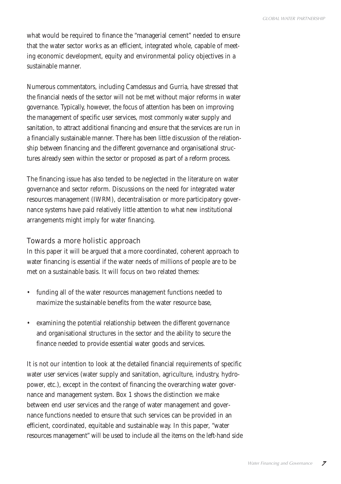what would be required to finance the "managerial cement" needed to ensure that the water sector works as an efficient, integrated whole, capable of meeting economic development, equity and environmental policy objectives in a sustainable manner.

Numerous commentators, including Camdessus and Gurria, have stressed that the financial needs of the sector will not be met without major reforms in water governance. Typically, however, the focus of attention has been on improving the management of specific user services, most commonly water supply and sanitation, to attract additional financing and ensure that the services are run in a financially sustainable manner. There has been little discussion of the relationship between financing and the different governance and organisational structures already seen within the sector or proposed as part of a reform process.

The financing issue has also tended to be neglected in the literature on water governance and sector reform. Discussions on the need for integrated water resources management (IWRM), decentralisation or more participatory governance systems have paid relatively little attention to what new institutional arrangements might imply for water financing.

## Towards a more holistic approach

In this paper it will be argued that a more coordinated, coherent approach to water financing is essential if the water needs of millions of people are to be met on a sustainable basis. It will focus on two related themes:

- funding all of the water resources management functions needed to maximize the sustainable benefits from the water resource base,
- examining the potential relationship between the different governance and organisational structures in the sector and the ability to secure the finance needed to provide essential water goods and services.

It is not our intention to look at the detailed financial requirements of specific water user services (water supply and sanitation, agriculture, industry, hydropower, etc.), except in the context of financing the overarching water governance and management system. Box 1 shows the distinction we make between end user services and the range of water management and governance functions needed to ensure that such services can be provided in an efficient, coordinated, equitable and sustainable way. In this paper, "water resources management" will be used to include all the items on the left-hand side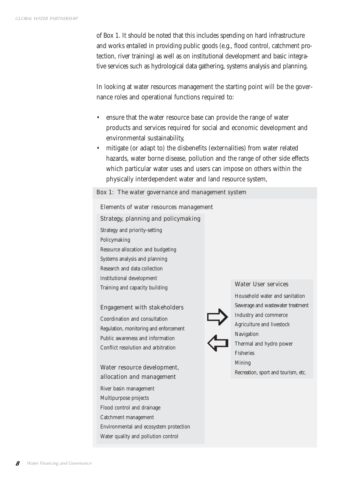of Box 1. It should be noted that this includes spending on hard infrastructure and works entailed in providing public goods (e.g., flood control, catchment protection, river training) as well as on institutional development and basic integrative services such as hydrological data gathering, systems analysis and planning.

In looking at water resources management the starting point will be the governance roles and operational functions required to:

- ensure that the water resource base can provide the range of water products and services required for social and economic development and environmental sustainability,
- mitigate (or adapt to) the disbenefits (externalities) from water related hazards, water borne disease, pollution and the range of other side effects which particular water uses and users can impose on others within the physically interdependent water and land resource system,

#### Box 1: The water governance and management system

#### Elements of water resources management

#### Strategy, planning and policymaking

Strategy and priority-setting Policymaking Resource allocation and budgeting Systems analysis and planning Research and data collection Institutional development Training and capacity building

#### Engagement with stakeholders

Coordination and consultation Regulation, monitoring and enforcement Public awareness and information Conflict resolution and arbitration

## Water resource development, allocation and management

River basin management Multipurpose projects Flood control and drainage Catchment management Environmental and ecosystem protection Water quality and pollution control

#### Water User services



Household water and sanitation Sewerage and wastewater treatment Industry and commerce Agriculture and livestock Navigation Thermal and hydro power Fisheries Mining Recreation, sport and tourism, etc.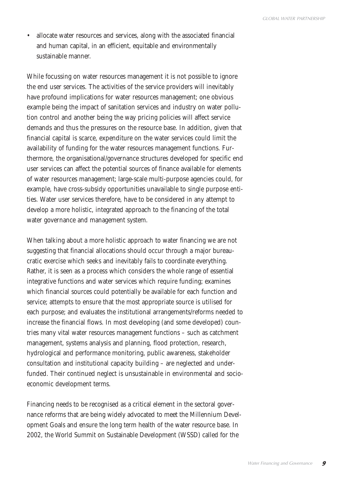• allocate water resources and services, along with the associated financial and human capital, in an efficient, equitable and environmentally sustainable manner.

While focussing on water resources management it is not possible to ignore the end user services. The activities of the service providers will inevitably have profound implications for water resources management; one obvious example being the impact of sanitation services and industry on water pollution control and another being the way pricing policies will affect service demands and thus the pressures on the resource base. In addition, given that financial capital is scarce, expenditure on the water services could limit the availability of funding for the water resources management functions. Furthermore, the organisational/governance structures developed for specific end user services can affect the potential sources of finance available for elements of water resources management; large-scale multi-purpose agencies could, for example, have cross-subsidy opportunities unavailable to single purpose entities. Water user services therefore, have to be considered in any attempt to develop a more holistic, integrated approach to the financing of the total water governance and management system.

When talking about a more holistic approach to water financing we are not suggesting that financial allocations should occur through a major bureaucratic exercise which seeks and inevitably fails to coordinate everything. Rather, it is seen as a process which considers the whole range of essential integrative functions and water services which require funding; examines which financial sources could potentially be available for each function and service; attempts to ensure that the most appropriate source is utilised for each purpose; and evaluates the institutional arrangements/reforms needed to increase the financial flows. In most developing (and some developed) countries many vital water resources management functions – such as catchment management, systems analysis and planning, flood protection, research, hydrological and performance monitoring, public awareness, stakeholder consultation and institutional capacity building – are neglected and underfunded. Their continued neglect is unsustainable in environmental and socioeconomic development terms.

Financing needs to be recognised as a critical element in the sectoral governance reforms that are being widely advocated to meet the Millennium Development Goals and ensure the long term health of the water resource base. In 2002, the World Summit on Sustainable Development (WSSD) called for the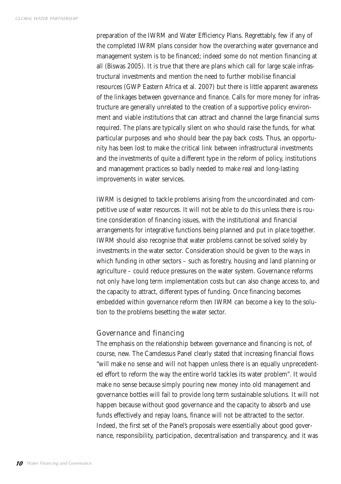preparation of the IWRM and Water Efficiency Plans. Regrettably, few if any of the completed IWRM plans consider how the overarching water governance and management system is to be financed; indeed some do not mention financing at all (Biswas 2005). It is true that there are plans which call for large scale infrastructural investments and mention the need to further mobilise financial resources (GWP Eastern Africa et al. 2007) but there is little apparent awareness of the linkages between governance and finance. Calls for more money for infrastructure are generally unrelated to the creation of a supportive policy environment and viable institutions that can attract and channel the large financial sums required. The plans are typically silent on who should raise the funds, for what particular purposes and who should bear the pay back costs. Thus, an opportunity has been lost to make the critical link between infrastructural investments and the investments of quite a different type in the reform of policy, institutions and management practices so badly needed to make real and long-lasting improvements in water services.

IWRM is designed to tackle problems arising from the uncoordinated and competitive use of water resources. It will not be able to do this unless there is routine consideration of financing issues, with the institutional and financial arrangements for integrative functions being planned and put in place together. IWRM should also recognise that water problems cannot be solved solely by investments in the water sector. Consideration should be given to the ways in which funding in other sectors – such as forestry, housing and land planning or agriculture – could reduce pressures on the water system. Governance reforms not only have long term implementation costs but can also change access to, and the capacity to attract, different types of funding. Once financing becomes embedded within governance reform then IWRM can become a key to the solution to the problems besetting the water sector.

## Governance and financing

The emphasis on the relationship between governance and financing is not, of course, new. The Camdessus Panel clearly stated that increasing financial flows "will make no sense and will not happen unless there is an equally unprecedented effort to reform the way the entire world tackles its water problem". It would make no sense because simply pouring new money into old management and governance bottles will fail to provide long term sustainable solutions. It will not happen because without good governance and the capacity to absorb and use funds effectively and repay loans, finance will not be attracted to the sector. Indeed, the first set of the Panel's proposals were essentially about good governance, responsibility, participation, decentralisation and transparency, and it was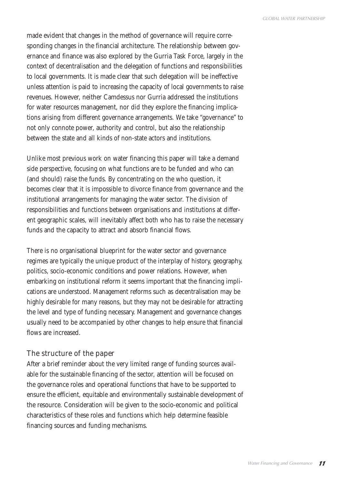made evident that changes in the method of governance will require corresponding changes in the financial architecture. The relationship between governance and finance was also explored by the Gurria Task Force, largely in the context of decentralisation and the delegation of functions and responsibilities to local governments. It is made clear that such delegation will be ineffective unless attention is paid to increasing the capacity of local governments to raise revenues. However, neither Camdessus nor Gurria addressed the institutions for water resources management, nor did they explore the financing implications arising from different governance arrangements. We take "governance" to not only connote power, authority and control, but also the relationship between the state and all kinds of non-state actors and institutions.

Unlike most previous work on water financing this paper will take a demand side perspective, focusing on what functions are to be funded and who can (and should) raise the funds. By concentrating on the who question, it becomes clear that it is impossible to divorce finance from governance and the institutional arrangements for managing the water sector. The division of responsibilities and functions between organisations and institutions at different geographic scales, will inevitably affect both who has to raise the necessary funds and the capacity to attract and absorb financial flows.

There is no organisational blueprint for the water sector and governance regimes are typically the unique product of the interplay of history, geography, politics, socio-economic conditions and power relations. However, when embarking on institutional reform it seems important that the financing implications are understood. Management reforms such as decentralisation may be highly desirable for many reasons, but they may not be desirable for attracting the level and type of funding necessary. Management and governance changes usually need to be accompanied by other changes to help ensure that financial flows are increased.

## The structure of the paper

After a brief reminder about the very limited range of funding sources available for the sustainable financing of the sector, attention will be focused on the governance roles and operational functions that have to be supported to ensure the efficient, equitable and environmentally sustainable development of the resource. Consideration will be given to the socio-economic and political characteristics of these roles and functions which help determine feasible financing sources and funding mechanisms.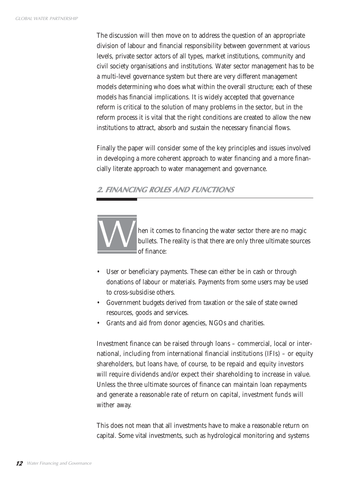The discussion will then move on to address the question of an appropriate division of labour and financial responsibility between government at various levels, private sector actors of all types, market institutions, community and civil society organisations and institutions. Water sector management has to be a multi-level governance system but there are very different management models determining who does what within the overall structure; each of these models has financial implications. It is widely accepted that governance reform is critical to the solution of many problems in the sector, but in the reform process it is vital that the right conditions are created to allow the new institutions to attract, absorb and sustain the necessary financial flows.

Finally the paper will consider some of the key principles and issues involved in developing a more coherent approach to water financing and a more financially literate approach to water management and governance.

## **2. FINANCING ROLES AND FUNCTIONS**



hen it comes to financing the water sector there are no magic bullets. The reality is that there are only three ultimate sources of finance:

- User or beneficiary payments. These can either be in cash or through donations of labour or materials. Payments from some users may be used to cross-subsidise others.
- Government budgets derived from taxation or the sale of state owned resources, goods and services.
- Grants and aid from donor agencies, NGOs and charities.

Investment finance can be raised through loans – commercial, local or international, including from international financial institutions (IFIs) – or equity shareholders, but loans have, of course, to be repaid and equity investors will require dividends and/or expect their shareholding to increase in value. Unless the three ultimate sources of finance can maintain loan repayments and generate a reasonable rate of return on capital, investment funds will wither away.

This does not mean that all investments have to make a reasonable return on capital. Some vital investments, such as hydrological monitoring and systems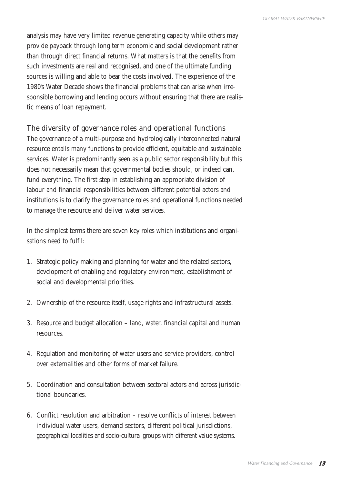analysis may have very limited revenue generating capacity while others may provide payback through long term economic and social development rather than through direct financial returns. What matters is that the benefits from such investments are real and recognised, and one of the ultimate funding sources is willing and able to bear the costs involved. The experience of the 1980's Water Decade shows the financial problems that can arise when irresponsible borrowing and lending occurs without ensuring that there are realistic means of loan repayment.

## The diversity of governance roles and operational functions

The governance of a multi-purpose and hydrologically interconnected natural resource entails many functions to provide efficient, equitable and sustainable services. Water is predominantly seen as a public sector responsibility but this does not necessarily mean that governmental bodies should, or indeed can, fund everything. The first step in establishing an appropriate division of labour and financial responsibilities between different potential actors and institutions is to clarify the governance roles and operational functions needed to manage the resource and deliver water services.

In the simplest terms there are seven key roles which institutions and organisations need to fulfil:

- 1. Strategic policy making and planning for water and the related sectors, development of enabling and regulatory environment, establishment of social and developmental priorities.
- 2. Ownership of the resource itself, usage rights and infrastructural assets.
- 3. Resource and budget allocation land, water, financial capital and human resources.
- 4. Regulation and monitoring of water users and service providers, control over externalities and other forms of market failure.
- 5. Coordination and consultation between sectoral actors and across jurisdictional boundaries.
- 6. Conflict resolution and arbitration resolve conflicts of interest between individual water users, demand sectors, different political jurisdictions, geographical localities and socio-cultural groups with different value systems.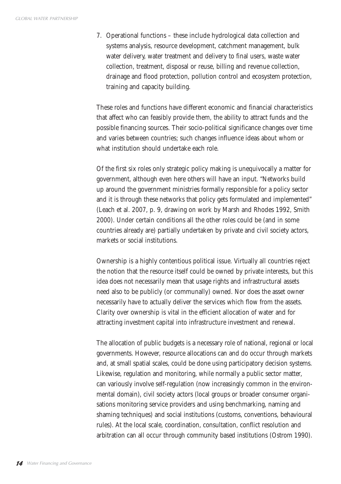7. Operational functions – these include hydrological data collection and systems analysis, resource development, catchment management, bulk water delivery, water treatment and delivery to final users, waste water collection, treatment, disposal or reuse, billing and revenue collection, drainage and flood protection, pollution control and ecosystem protection, training and capacity building.

These roles and functions have different economic and financial characteristics that affect who can feasibly provide them, the ability to attract funds and the possible financing sources. Their socio-political significance changes over time and varies between countries; such changes influence ideas about whom or what institution should undertake each role.

Of the first six roles only strategic policy making is unequivocally a matter for government, although even here others will have an input. "Networks build up around the government ministries formally responsible for a policy sector and it is through these networks that policy gets formulated and implemented" (Leach et al. 2007, p. 9, drawing on work by Marsh and Rhodes 1992, Smith 2000). Under certain conditions all the other roles could be (and in some countries already are) partially undertaken by private and civil society actors, markets or social institutions.

Ownership is a highly contentious political issue. Virtually all countries reject the notion that the resource itself could be owned by private interests, but this idea does not necessarily mean that usage rights and infrastructural assets need also to be publicly (or communally) owned. Nor does the asset owner necessarily have to actually deliver the services which flow from the assets. Clarity over ownership is vital in the efficient allocation of water and for attracting investment capital into infrastructure investment and renewal.

The allocation of public budgets is a necessary role of national, regional or local governments. However, resource allocations can and do occur through markets and, at small spatial scales, could be done using participatory decision systems. Likewise, regulation and monitoring, while normally a public sector matter, can variously involve self-regulation (now increasingly common in the environmental domain), civil society actors (local groups or broader consumer organisations monitoring service providers and using benchmarking, naming and shaming techniques) and social institutions (customs, conventions, behavioural rules). At the local scale, coordination, consultation, conflict resolution and arbitration can all occur through community based institutions (Ostrom 1990).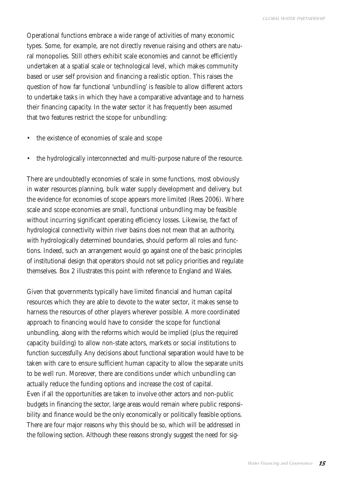Operational functions embrace a wide range of activities of many economic types. Some, for example, are not directly revenue raising and others are natural monopolies. Still others exhibit scale economies and cannot be efficiently undertaken at a spatial scale or technological level, which makes community based or user self provision and financing a realistic option. This raises the question of how far functional 'unbundling' is feasible to allow different actors to undertake tasks in which they have a comparative advantage and to harness their financing capacity. In the water sector it has frequently been assumed that two features restrict the scope for unbundling:

- the existence of economies of scale and scope
- the hydrologically interconnected and multi-purpose nature of the resource.

There are undoubtedly economies of scale in some functions, most obviously in water resources planning, bulk water supply development and delivery, but the evidence for economies of scope appears more limited (Rees 2006). Where scale and scope economies are small, functional unbundling may be feasible without incurring significant operating efficiency losses. Likewise, the fact of hydrological connectivity within river basins does not mean that an authority, with hydrologically determined boundaries, should perform all roles and functions. Indeed, such an arrangement would go against one of the basic principles of institutional design that operators should not set policy priorities and regulate themselves. Box 2 illustrates this point with reference to England and Wales.

Given that governments typically have limited financial and human capital resources which they are able to devote to the water sector, it makes sense to harness the resources of other players wherever possible. A more coordinated approach to financing would have to consider the scope for functional unbundling, along with the reforms which would be implied (plus the required capacity building) to allow non-state actors, markets or social institutions to function successfully. Any decisions about functional separation would have to be taken with care to ensure sufficient human capacity to allow the separate units to be well run. Moreover, there are conditions under which unbundling can actually reduce the funding options and increase the cost of capital. Even if all the opportunities are taken to involve other actors and non-public budgets in financing the sector, large areas would remain where public responsibility and finance would be the only economically or politically feasible options. There are four major reasons why this should be so, which will be addressed in the following section. Although these reasons strongly suggest the need for sig-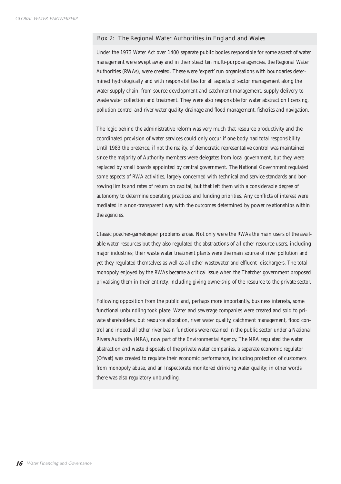#### Box 2: The Regional Water Authorities in England and Wales

Under the 1973 Water Act over 1400 separate public bodies responsible for some aspect of water management were swept away and in their stead ten multi-purpose agencies, the Regional Water Authorities (RWAs), were created. These were 'expert' run organisations with boundaries determined hydrologically and with responsibilities for all aspects of sector management along the water supply chain, from source development and catchment management, supply delivery to waste water collection and treatment. They were also responsible for water abstraction licensing, pollution control and river water quality, drainage and flood management, fisheries and navigation.

The logic behind the administrative reform was very much that resource productivity and the coordinated provision of water services could only occur if one body had total responsibility. Until 1983 the pretence, if not the reality, of democratic representative control was maintained since the majority of Authority members were delegates from local government, but they were replaced by small boards appointed by central government. The National Government regulated some aspects of RWA activities, largely concerned with technical and service standards and borrowing limits and rates of return on capital, but that left them with a considerable degree of autonomy to determine operating practices and funding priorities. Any conflicts of interest were mediated in a non-transparent way with the outcomes determined by power relationships within the agencies.

Classic poacher-gamekeeper problems arose. Not only were the RWAs the main users of the available water resources but they also regulated the abstractions of all other resource users, including major industries; their waste water treatment plants were the main source of river pollution and yet they regulated themselves as well as all other wastewater and effluent dischargers. The total monopoly enjoyed by the RWAs became a critical issue when the Thatcher government proposed privatising them in their entirety, including giving ownership of the resource to the private sector.

Following opposition from the public and, perhaps more importantly, business interests, some functional unbundling took place. Water and sewerage companies were created and sold to private shareholders, but resource allocation, river water quality, catchment management, flood control and indeed all other river basin functions were retained in the public sector under a National Rivers Authority (NRA), now part of the Environmental Agency. The NRA regulated the water abstraction and waste disposals of the private water companies, a separate economic regulator (Ofwat) was created to regulate their economic performance, including protection of customers from monopoly abuse, and an Inspectorate monitored drinking water quality; in other words there was also regulatory unbundling.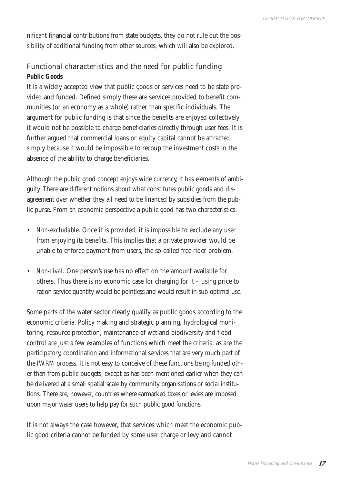nificant financial contributions from state budgets, they do not rule out the possibility of additional funding from other sources, which will also be explored.

## Functional characteristics and the need for public funding *Public Goods*

It is a widely accepted view that public goods or services need to be state provided and funded. Defined simply these are services provided to benefit communities (or an economy as a whole) rather than specific individuals. The argument for public funding is that since the benefits are enjoyed collectively it would not be possible to charge beneficiaries directly through user fees. It is further argued that commercial loans or equity capital cannot be attracted simply because it would be impossible to recoup the investment costs in the absence of the ability to charge beneficiaries.

Although the public good concept enjoys wide currency, it has elements of ambiguity. There are different notions about what constitutes public goods and disagreement over whether they all need to be financed by subsidies from the public purse. From an economic perspective a public good has two characteristics:

- *Non-excludable.* Once it is provided, it is impossible to exclude any user from enjoying its benefits. This implies that a private provider would be unable to enforce payment from users, the so-called free rider problem.
- *Non-rival.* One person's use has no effect on the amount available for others. Thus there is no economic case for charging for it – using price to ration service quantity would be pointless and would result in sub-optimal use.

Some parts of the water sector clearly qualify as public goods according to the economic criteria. Policy making and strategic planning, hydrological monitoring, resource protection, maintenance of wetland biodiversity and flood control are just a few examples of functions which meet the criteria, as are the participatory, coordination and informational services that are very much part of the IWRM process. It is not easy to conceive of these functions being funded other than from public budgets, except as has been mentioned earlier when they can be delivered at a small spatial scale by community organisations or social institutions. There are, however, countries where earmarked taxes or levies are imposed upon major water users to help pay for such public good functions.

It is not always the case however, that services which meet the economic public good criteria cannot be funded by some user charge or levy and cannot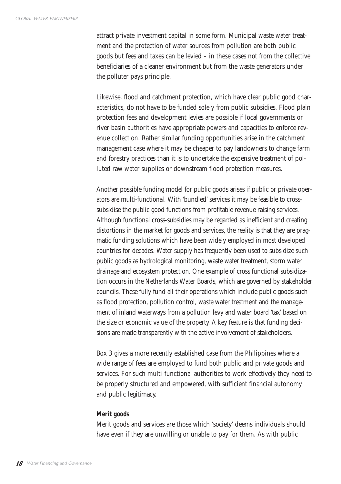attract private investment capital in some form. Municipal waste water treatment and the protection of water sources from pollution are both public goods but fees and taxes can be levied – in these cases not from the collective beneficiaries of a cleaner environment but from the waste generators under the polluter pays principle.

Likewise, flood and catchment protection, which have clear public good characteristics, do not have to be funded solely from public subsidies. Flood plain protection fees and development levies are possible if local governments or river basin authorities have appropriate powers and capacities to enforce revenue collection. Rather similar funding opportunities arise in the catchment management case where it may be cheaper to pay landowners to change farm and forestry practices than it is to undertake the expensive treatment of polluted raw water supplies or downstream flood protection measures.

Another possible funding model for public goods arises if public or private operators are multi-functional. With 'bundled' services it may be feasible to crosssubsidise the public good functions from profitable revenue raising services. Although functional cross-subsidies may be regarded as inefficient and creating distortions in the market for goods and services, the reality is that they are pragmatic funding solutions which have been widely employed in most developed countries for decades. Water supply has frequently been used to subsidize such public goods as hydrological monitoring, waste water treatment, storm water drainage and ecosystem protection. One example of cross functional subsidization occurs in the Netherlands Water Boards, which are governed by stakeholder councils. These fully fund all their operations which include public goods such as flood protection, pollution control, waste water treatment and the management of inland waterways from a pollution levy and water board 'tax' based on the size or economic value of the property. A key feature is that funding decisions are made transparently with the active involvement of stakeholders.

Box 3 gives a more recently established case from the Philippines where a wide range of fees are employed to fund both public and private goods and services. For such multi-functional authorities to work effectively they need to be properly structured and empowered, with sufficient financial autonomy and public legitimacy.

#### *Merit goods*

Merit goods and services are those which 'society' deems individuals should have even if they are unwilling or unable to pay for them. As with public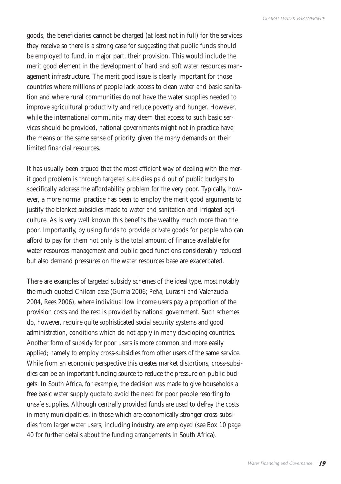goods, the beneficiaries cannot be charged (at least not in full) for the services they receive so there is a strong case for suggesting that public funds should be employed to fund, in major part, their provision. This would include the merit good element in the development of hard and soft water resources management infrastructure. The merit good issue is clearly important for those countries where millions of people lack access to clean water and basic sanitation and where rural communities do not have the water supplies needed to improve agricultural productivity and reduce poverty and hunger. However, while the international community may deem that access to such basic services should be provided, national governments might not in practice have the means or the same sense of priority, given the many demands on their limited financial resources.

It has usually been argued that the most efficient way of dealing with the merit good problem is through targeted subsidies paid out of public budgets to specifically address the affordability problem for the very poor. Typically, however, a more normal practice has been to employ the merit good arguments to justify the blanket subsidies made to water and sanitation and irrigated agriculture. As is very well known this benefits the wealthy much more than the poor. Importantly, by using funds to provide private goods for people who can afford to pay for them not only is the total amount of finance available for water resources management and public good functions considerably reduced but also demand pressures on the water resources base are exacerbated.

There are examples of targeted subsidy schemes of the ideal type, most notably the much quoted Chilean case (Gurria 2006; Peña, Lurashi and Valenzuela 2004, Rees 2006), where individual low income users pay a proportion of the provision costs and the rest is provided by national government. Such schemes do, however, require quite sophisticated social security systems and good administration, conditions which do not apply in many developing countries. Another form of subsidy for poor users is more common and more easily applied; namely to employ cross-subsidies from other users of the same service. While from an economic perspective this creates market distortions, cross-subsidies can be an important funding source to reduce the pressure on public budgets. In South Africa, for example, the decision was made to give households a free basic water supply quota to avoid the need for poor people resorting to unsafe supplies. Although centrally provided funds are used to defray the costs in many municipalities, in those which are economically stronger cross-subsidies from larger water users, including industry, are employed (see Box 10 page 40 for further details about the funding arrangements in South Africa).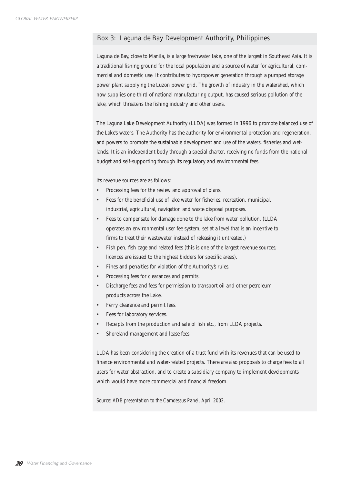#### Box 3: Laguna de Bay Development Authority, Philippines

Laguna de Bay, close to Manila, is a large freshwater lake, one of the largest in Southeast Asia. It is a traditional fishing ground for the local population and a source of water for agricultural, commercial and domestic use. It contributes to hydropower generation through a pumped storage power plant supplying the Luzon power grid. The growth of industry in the watershed, which now supplies one-third of national manufacturing output, has caused serious pollution of the lake, which threatens the fishing industry and other users.

The Laguna Lake Development Authority (LLDA) was formed in 1996 to promote balanced use of the Lake's waters. The Authority has the authority for environmental protection and regeneration, and powers to promote the sustainable development and use of the waters, fisheries and wetlands. It is an independent body through a special charter, receiving no funds from the national budget and self-supporting through its regulatory and environmental fees.

Its revenue sources are as follows:

- Processing fees for the review and approval of plans.
- Fees for the beneficial use of lake water for fisheries, recreation, municipal, industrial, agricultural, navigation and waste disposal purposes.
- Fees to compensate for damage done to the lake from water pollution. (LLDA operates an environmental user fee system, set at a level that is an incentive to firms to treat their wastewater instead of releasing it untreated.)
- Fish pen, fish cage and related fees (this is one of the largest revenue sources; licences are issued to the highest bidders for specific areas).
- Fines and penalties for violation of the Authority's rules.
- Processing fees for clearances and permits.
- Discharge fees and fees for permission to transport oil and other petroleum products across the Lake.
- Ferry clearance and permit fees.
- Fees for laboratory services.
- Receipts from the production and sale of fish etc., from LLDA projects.
- Shoreland management and lease fees.

LLDA has been considering the creation of a trust fund with its revenues that can be used to finance environmental and water-related projects. There are also proposals to charge fees to all users for water abstraction, and to create a subsidiary company to implement developments which would have more commercial and financial freedom.

*Source: ADB presentation to the Camdessus Panel, April 2002.*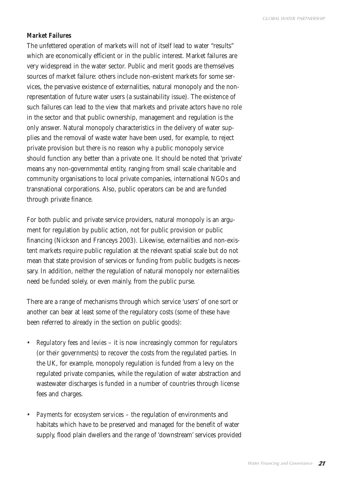## *Market Failures*

The unfettered operation of markets will not of itself lead to water "results" which are economically efficient or in the public interest. Market failures are very widespread in the water sector. Public and merit goods are themselves sources of market failure: others include non-existent markets for some services, the pervasive existence of externalities, natural monopoly and the nonrepresentation of future water users (a sustainability issue). The existence of such failures can lead to the view that markets and private actors have no role in the sector and that public ownership, management and regulation is the only answer. Natural monopoly characteristics in the delivery of water supplies and the removal of waste water have been used, for example, to reject private provision but there is no reason why a public monopoly service should function any better than a private one. It should be noted that 'private' means any non-governmental entity, ranging from small scale charitable and community organisations to local private companies, international NGOs and transnational corporations. Also, public operators can be and are funded through private finance.

For both public and private service providers, natural monopoly is an argument for regulation by public action, not for public provision or public financing (Nickson and Franceys 2003). Likewise, externalities and non-existent markets require public regulation at the relevant spatial scale but do not mean that state provision of services or funding from public budgets is necessary. In addition, neither the regulation of natural monopoly nor externalities need be funded solely, or even mainly, from the public purse.

There are a range of mechanisms through which service 'users' of one sort or another can bear at least some of the regulatory costs (some of these have been referred to already in the section on public goods):

- *Regulatory fees and levies* it is now increasingly common for regulators (or their governments) to recover the costs from the regulated parties. In the UK, for example, monopoly regulation is funded from a levy on the regulated private companies, while the regulation of water abstraction and wastewater discharges is funded in a number of countries through license fees and charges.
- *Payments for ecosystem services* the regulation of environments and habitats which have to be preserved and managed for the benefit of water supply, flood plain dwellers and the range of 'downstream' services provided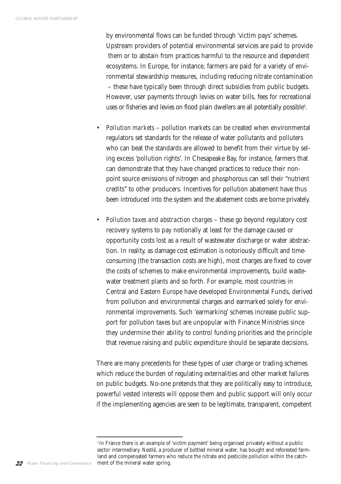by environmental flows can be funded through 'victim pays' schemes. Upstream providers of potential environmental services are paid to provide them or to abstain from practices harmful to the resource and dependent ecosystems. In Europe, for instance, farmers are paid for a variety of environmental stewardship measures, including reducing nitrate contamination – these have typically been through direct subsidies from public budgets. However, user payments through levies on water bills, fees for recreational uses or fisheries and levies on flood plain dwellers are all potentially possible<sup>3</sup>.

- *Pollution markets* pollution markets can be created when environmental regulators set standards for the release of water pollutants and polluters who can beat the standards are allowed to benefit from their virtue by seling excess 'pollution rights'. In Chesapeake Bay, for instance, farmers that can demonstrate that they have changed practices to reduce their nonpoint source emissions of nitrogen and phosphorous can sell their "nutrient credits" to other producers. Incentives for pollution abatement have thus been introduced into the system and the abatement costs are borne privately.
- *Pollution taxes and abstraction charges* these go beyond regulatory cost recovery systems to pay notionally at least for the damage caused or opportunity costs lost as a result of wastewater discharge or water abstraction. In reality, as damage cost estimation is notoriously difficult and timeconsuming (the transaction costs are high), most charges are fixed to cover the costs of schemes to make environmental improvements, build wastewater treatment plants and so forth. For example, most countries in Central and Eastern Europe have developed Environmental Funds, derived from pollution and environmental charges and earmarked solely for environmental improvements. Such 'earmarking' schemes increase public support for pollution taxes but are unpopular with Finance Ministries since they undermine their ability to control funding priorities and the principle that revenue raising and public expenditure should be separate decisions.

There are many precedents for these types of user charge or trading schemes which reduce the burden of regulating externalities and other market failures on public budgets. No-one pretends that they are politically easy to introduce, powerful vested interests will oppose them and public support will only occur if the implementing agencies are seen to be legitimate, transparent, competent

*<sup>3</sup>*In France there is an example of 'victim payment' being organised privately without a public sector intermediary. Nestlé, a producer of bottled mineral water, has bought and reforested farmland and compensated farmers who reduce the nitrate and pesticide pollution within the catch-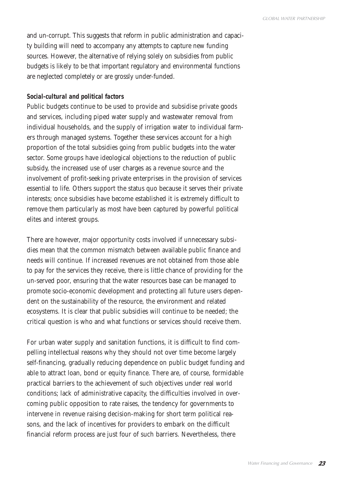and un-corrupt. This suggests that reform in public administration and capacity building will need to accompany any attempts to capture new funding sources. However, the alternative of relying solely on subsidies from public budgets is likely to be that important regulatory and environmental functions are neglected completely or are grossly under-funded.

### *Social-cultural and political factors*

Public budgets continue to be used to provide and subsidise private goods and services, including piped water supply and wastewater removal from individual households, and the supply of irrigation water to individual farmers through managed systems. Together these services account for a high proportion of the total subsidies going from public budgets into the water sector. Some groups have ideological objections to the reduction of public subsidy, the increased use of user charges as a revenue source and the involvement of profit-seeking private enterprises in the provision of services essential to life. Others support the status quo because it serves their private interests; once subsidies have become established it is extremely difficult to remove them particularly as most have been captured by powerful political elites and interest groups.

There are however, major opportunity costs involved if unnecessary subsidies mean that the common mismatch between available public finance and needs will continue. If increased revenues are not obtained from those able to pay for the services they receive, there is little chance of providing for the un-served poor, ensuring that the water resources base can be managed to promote socio-economic development and protecting all future users dependent on the sustainability of the resource, the environment and related ecosystems. It is clear that public subsidies will continue to be needed; the critical question is who and what functions or services should receive them.

For urban water supply and sanitation functions, it is difficult to find compelling intellectual reasons why they should not over time become largely self-financing, gradually reducing dependence on public budget funding and able to attract loan, bond or equity finance. There are, of course, formidable practical barriers to the achievement of such objectives under real world conditions; lack of administrative capacity, the difficulties involved in overcoming public opposition to rate raises, the tendency for governments to intervene in revenue raising decision-making for short term political reasons, and the lack of incentives for providers to embark on the difficult financial reform process are just four of such barriers. Nevertheless, there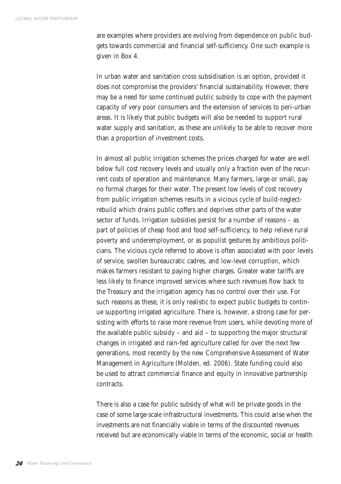are examples where providers are evolving from dependence on public budgets towards commercial and financial self-sufficiency. One such example is given in Box 4.

In urban water and sanitation cross subsidisation is an option, provided it does not compromise the providers' financial sustainability. However, there may be a need for some continued public subsidy to cope with the payment capacity of very poor consumers and the extension of services to peri-urban areas. It is likely that public budgets will also be needed to support rural water supply and sanitation, as these are unlikely to be able to recover more than a proportion of investment costs.

In almost all public irrigation schemes the prices charged for water are well below full cost recovery levels and usually only a fraction even of the recurrent costs of operation and maintenance. Many farmers, large or small, pay no formal charges for their water. The present low levels of cost recovery from public irrigation schemes results in a vicious cycle of build-neglectrebuild which drains public coffers and deprives other parts of the water sector of funds. Irrigation subsidies persist for a number of reasons – as part of policies of cheap food and food self-sufficiency, to help relieve rural poverty and underemployment, or as populist gestures by ambitious politicians. The vicious cycle referred to above is often associated with poor levels of service, swollen bureaucratic cadres, and low-level corruption, which makes farmers resistant to paying higher charges. Greater water tariffs are less likely to finance improved services where such revenues flow back to the Treasury and the irrigation agency has no control over their use. For such reasons as these, it is only realistic to expect public budgets to continue supporting irrigated agriculture. There is, however, a strong case for persisting with efforts to raise more revenue from users, while devoting more of the available public subsidy – and aid – to supporting the major structural changes in irrigated and rain-fed agriculture called for over the next few generations, most recently by the new Comprehensive Assessment of Water Management in Agriculture (Molden, ed. 2006). State funding could also be used to attract commercial finance and equity in innovative partnership contracts.

There is also a case for public subsidy of what will be private goods in the case of some large-scale infrastructural investments. This could arise when the investments are not financially viable in terms of the discounted revenues received but are economically viable in terms of the economic, social or health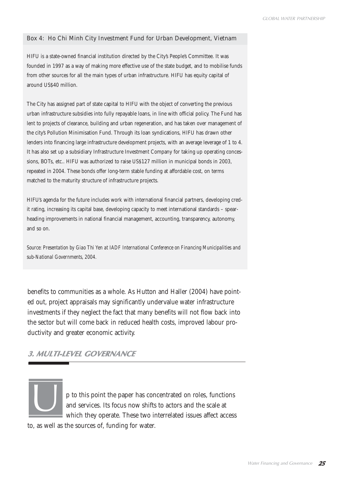#### Box 4: Ho Chi Minh City Investment Fund for Urban Development, Vietnam

HIFU is a state-owned financial institution directed by the City's People's Committee. It was founded in 1997 as a way of making more effective use of the state budget, and to mobilise funds from other sources for all the main types of urban infrastructure. HIFU has equity capital of around US\$40 million.

The City has assigned part of state capital to HIFU with the object of converting the previous urban infrastructure subsidies into fully repayable loans, in line with official policy. The Fund has lent to projects of clearance, building and urban regeneration, and has taken over management of the city's Pollution Minimisation Fund. Through its loan syndications, HIFU has drawn other lenders into financing large infrastructure development projects, with an average leverage of 1 to 4. It has also set up a subsidiary Infrastructure Investment Company for taking up operating concessions, BOTs, etc.. HIFU was authorized to raise US\$127 million in municipal bonds in 2003, repeated in 2004. These bonds offer long-term stable funding at affordable cost, on terms matched to the maturity structure of infrastructure projects.

HIFU's agenda for the future includes work with international financial partners, developing credit rating, increasing its capital base, developing capacity to meet international standards – spearheading improvements in national financial management, accounting, transparency, autonomy, and so on.

*Source: Presentation by Giao Thi Yen at IADF International Conference on Financing Municipalities and sub-National Governments, 2004.*

benefits to communities as a whole. As Hutton and Haller (2004) have pointed out, project appraisals may significantly undervalue water infrastructure investments if they neglect the fact that many benefits will not flow back into the sector but will come back in reduced health costs, improved labour productivity and greater economic activity.

## **3. MULTI-LEVEL GOVERNANCE**



p to this point the paper has concentrated on roles, functions and services. Its focus now shifts to actors and the scale at which they operate. These two interrelated issues affect access

to, as well as the sources of, funding for water.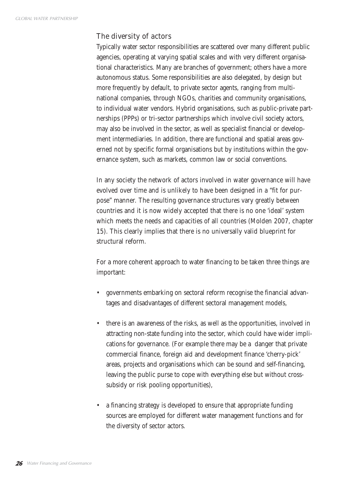## The diversity of actors

Typically water sector responsibilities are scattered over many different public agencies, operating at varying spatial scales and with very different organisational characteristics. Many are branches of government; others have a more autonomous status. Some responsibilities are also delegated, by design but more frequently by default, to private sector agents, ranging from multinational companies, through NGOs, charities and community organisations, to individual water vendors. Hybrid organisations, such as public-private partnerships (PPPs) or tri-sector partnerships which involve civil society actors, may also be involved in the sector, as well as specialist financial or development intermediaries. In addition, there are functional and spatial areas governed not by specific formal organisations but by institutions within the governance system, such as markets, common law or social conventions.

In any society the network of actors involved in water governance will have evolved over time and is unlikely to have been designed in a "fit for purpose" manner. The resulting governance structures vary greatly between countries and it is now widely accepted that there is no one 'ideal' system which meets the needs and capacities of all countries (Molden 2007, chapter 15). This clearly implies that there is no universally valid blueprint for structural reform.

For a more coherent approach to water financing to be taken three things are important:

- governments embarking on sectoral reform recognise the financial advantages and disadvantages of different sectoral management models,
- there is an awareness of the risks, as well as the opportunities, involved in attracting non-state funding into the sector, which could have wider implications for governance. (For example there may be a danger that private commercial finance, foreign aid and development finance 'cherry-pick' areas, projects and organisations which can be sound and self-financing, leaving the public purse to cope with everything else but without crosssubsidy or risk pooling opportunities),
- a financing strategy is developed to ensure that appropriate funding sources are employed for different water management functions and for the diversity of sector actors.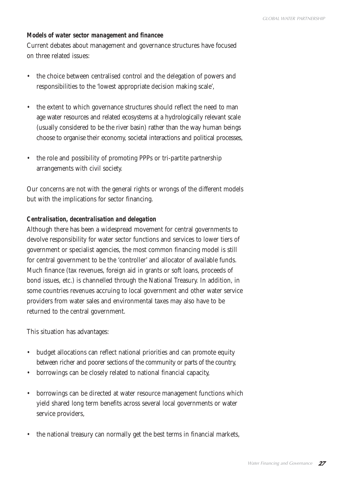## *Models of water sector management and financee*

Current debates about management and governance structures have focused on three related issues:

- the choice between centralised control and the delegation of powers and responsibilities to the 'lowest appropriate decision making scale',
- the extent to which governance structures should reflect the need to man age water resources and related ecosystems at a hydrologically relevant scale (usually considered to be the river basin) rather than the way human beings choose to organise their economy, societal interactions and political processes,
- the role and possibility of promoting PPPs or tri-partite partnership arrangements with civil society.

Our concerns are not with the general rights or wrongs of the different models but with the implications for sector financing.

### *Centralisation, decentralisation and delegation*

Although there has been a widespread movement for central governments to devolve responsibility for water sector functions and services to lower tiers of government or specialist agencies, the most common financing model is still for central government to be the 'controller' and allocator of available funds. Much finance (tax revenues, foreign aid in grants or soft loans, proceeds of bond issues, etc.) is channelled through the National Treasury. In addition, in some countries revenues accruing to local government and other water service providers from water sales and environmental taxes may also have to be returned to the central government.

This situation has advantages:

- budget allocations can reflect national priorities and can promote equity between richer and poorer sections of the community or parts of the country,
- borrowings can be closely related to national financial capacity,
- borrowings can be directed at water resource management functions which yield shared long term benefits across several local governments or water service providers,
- the national treasury can normally get the best terms in financial markets,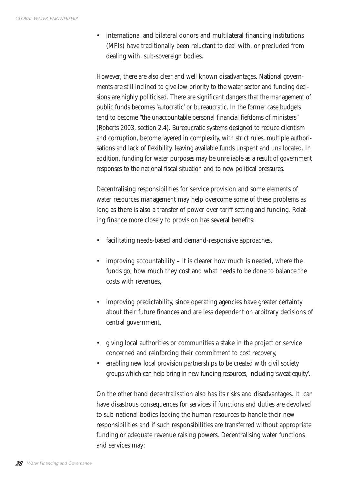• international and bilateral donors and multilateral financing institutions (MFIs) have traditionally been reluctant to deal with, or precluded from dealing with, sub-sovereign bodies.

However, there are also clear and well known disadvantages. National governments are still inclined to give low priority to the water sector and funding decisions are highly politicised. There are significant dangers that the management of public funds becomes 'autocratic' or bureaucratic. In the former case budgets tend to become "the unaccountable personal financial fiefdoms of ministers" (Roberts 2003, section 2.4). Bureaucratic systems designed to reduce clientism and corruption, become layered in complexity, with strict rules, multiple authorisations and lack of flexibility, leaving available funds unspent and unallocated. In addition, funding for water purposes may be unreliable as a result of government responses to the national fiscal situation and to new political pressures.

Decentralising responsibilities for service provision and some elements of water resources management may help overcome some of these problems as long as there is also a transfer of power over tariff setting and funding. Relating finance more closely to provision has several benefits:

- facilitating needs-based and demand-responsive approaches,
- improving accountability it is clearer how much is needed, where the funds go, how much they cost and what needs to be done to balance the costs with revenues,
- improving predictability, since operating agencies have greater certainty about their future finances and are less dependent on arbitrary decisions of central government,
- giving local authorities or communities a stake in the project or service concerned and reinforcing their commitment to cost recovery,
- enabling new local provision partnerships to be created with civil society groups which can help bring in new funding resources, including 'sweat equity'.

On the other hand decentralisation also has its risks and disadvantages. It can have disastrous consequences for services if functions and duties are devolved to sub-national bodies lacking the human resources to handle their new responsibilities and if such responsibilities are transferred without appropriate funding or adequate revenue raising powers. Decentralising water functions and services may: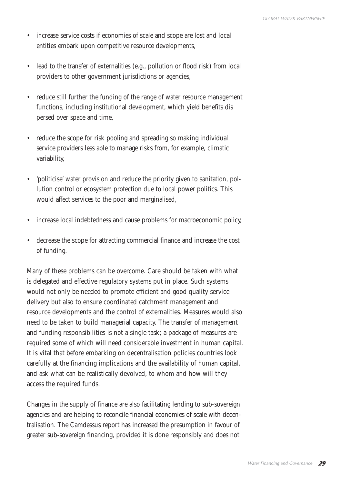- increase service costs if economies of scale and scope are lost and local entities embark upon competitive resource developments,
- lead to the transfer of externalities (e.g., pollution or flood risk) from local providers to other government jurisdictions or agencies,
- reduce still further the funding of the range of water resource management functions, including institutional development, which yield benefits dis persed over space and time,
- reduce the scope for risk pooling and spreading so making individual service providers less able to manage risks from, for example, climatic variability,
- 'politicise' water provision and reduce the priority given to sanitation, pollution control or ecosystem protection due to local power politics. This would affect services to the poor and marginalised,
- increase local indebtedness and cause problems for macroeconomic policy,
- decrease the scope for attracting commercial finance and increase the cost of funding.

Many of these problems can be overcome. Care should be taken with what is delegated and effective regulatory systems put in place. Such systems would not only be needed to promote efficient and good quality service delivery but also to ensure coordinated catchment management and resource developments and the control of externalities. Measures would also need to be taken to build managerial capacity. The transfer of management and funding responsibilities is not a single task; a package of measures are required some of which will need considerable investment in human capital. It is vital that before embarking on decentralisation policies countries look carefully at the financing implications and the availability of human capital, and ask what can be realistically devolved, to whom and how will they access the required funds.

Changes in the supply of finance are also facilitating lending to sub-sovereign agencies and are helping to reconcile financial economies of scale with decentralisation. The Camdessus report has increased the presumption in favour of greater sub-sovereign financing, provided it is done responsibly and does not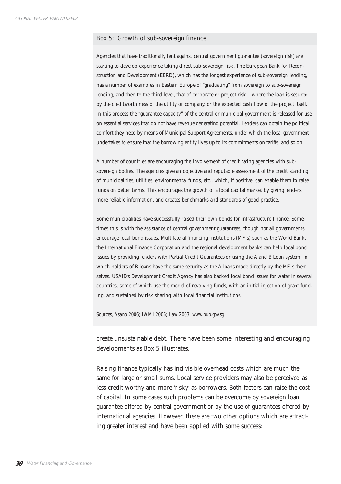#### Box 5: Growth of sub-sovereign finance

Agencies that have traditionally lent against central government guarantee (sovereign risk) are starting to develop experience taking direct sub-sovereign risk. The European Bank for Reconstruction and Development (EBRD), which has the longest experience of sub-sovereign lending, has a number of examples in Eastern Europe of "graduating" from sovereign to sub-sovereign lending, and then to the third level, that of corporate or project risk – where the loan is secured by the creditworthiness of the utility or company, or the expected cash flow of the project itself. In this process the "guarantee capacity" of the central or municipal government is released for use on essential services that do not have revenue generating potential. Lenders can obtain the political comfort they need by means of Municipal Support Agreements, under which the local government undertakes to ensure that the borrowing entity lives up to its commitments on tariffs. and so on.

A number of countries are encouraging the involvement of credit rating agencies with subsovereign bodies. The agencies give an objective and reputable assessment of the credit standing of municipalities, utilities, environmental funds, etc., which, if positive, can enable them to raise funds on better terms. This encourages the growth of a local capital market by giving lenders more reliable information, and creates benchmarks and standards of good practice.

Some municipalities have successfully raised their own bonds for infrastructure finance. Sometimes this is with the assistance of central government guarantees, though not all governments encourage local bond issues. Multilateral financing Institutions (MFIs) such as the World Bank, the International Finance Corporation and the regional development banks can help local bond issues by providing lenders with Partial Credit Guarantees or using the A and B Loan system, in which holders of B loans have the same security as the A loans made directly by the MFIs themselves. USAID's Development Credit Agency has also backed local bond issues for water in several countries, some of which use the model of revolving funds, with an initial injection of grant funding, and sustained by risk sharing with local financial institutions.

*Sources, Asano 2006; IWMI 2006; Law 2003, www.pub.gov.sg*

create unsustainable debt. There have been some interesting and encouraging developments as Box 5 illustrates.

Raising finance typically has indivisible overhead costs which are much the same for large or small sums. Local service providers may also be perceived as less credit worthy and more 'risky' as borrowers. Both factors can raise the cost of capital. In some cases such problems can be overcome by sovereign loan guarantee offered by central government or by the use of guarantees offered by international agencies. However, there are two other options which are attracting greater interest and have been applied with some success: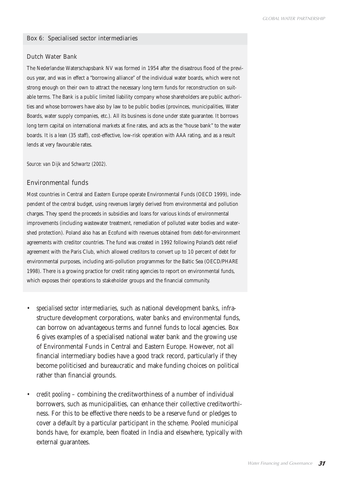#### Box 6: Specialised sector intermediaries

#### Dutch Water Bank

The Nederlandse Waterschapsbank NV was formed in 1954 after the disastrous flood of the previous year, and was in effect a "borrowing alliance" of the individual water boards, which were not strong enough on their own to attract the necessary long term funds for reconstruction on suitable terms. The Bank is a public limited liability company whose shareholders are public authorities and whose borrowers have also by law to be public bodies (provinces, municipalities, Water Boards, water supply companies, etc.). All its business is done under state guarantee. It borrows long term capital on international markets at fine rates, and acts as the "house bank" to the water boards. It is a lean (35 staff), cost-effective, low-risk operation with AAA rating, and as a result lends at very favourable rates.

*Source: van Dijk and Schwartz (2002).* 

#### Environmental funds

Most countries in Central and Eastern Europe operate Environmental Funds (OECD 1999), independent of the central budget, using revenues largely derived from environmental and pollution charges. They spend the proceeds in subsidies and loans for various kinds of environmental improvements (including wastewater treatment, remediation of polluted water bodies and watershed protection). Poland also has an Ecofund with revenues obtained from debt-for-environment agreements with creditor countries. The fund was created in 1992 following Poland's debt relief agreement with the Paris Club, which allowed creditors to convert up to 10 percent of debt for environmental purposes, including anti-pollution programmes for the Baltic Sea (OECD/PHARE 1998). There is a growing practice for credit rating agencies to report on environmental funds, which exposes their operations to stakeholder groups and the financial community.

- *specialised sector intermediaries,* such as national development banks, infrastructure development corporations, water banks and environmental funds, can borrow on advantageous terms and funnel funds to local agencies. Box 6 gives examples of a specialised national water bank and the growing use of Environmental Funds in Central and Eastern Europe. However, not all financial intermediary bodies have a good track record, particularly if they become politicised and bureaucratic and make funding choices on political rather than financial grounds.
- *credit pooling* combining the creditworthiness of a number of individual borrowers, such as municipalities, can enhance their collective creditworthiness. For this to be effective there needs to be a reserve fund or pledges to cover a default by a particular participant in the scheme. Pooled municipal bonds have, for example, been floated in India and elsewhere, typically with external guarantees.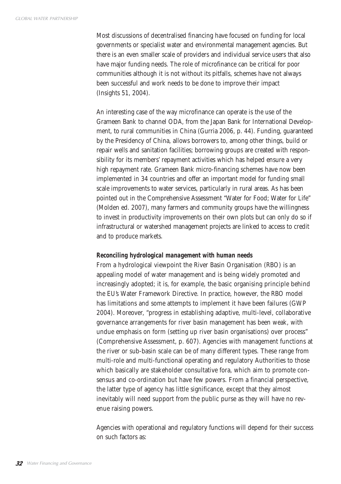Most discussions of decentralised financing have focused on funding for local governments or specialist water and environmental management agencies. But there is an even smaller scale of providers and individual service users that also have major funding needs. The role of microfinance can be critical for poor communities although it is not without its pitfalls, schemes have not always been successful and work needs to be done to improve their impact (Insights 51, 2004).

An interesting case of the way microfinance can operate is the use of the Grameen Bank to channel ODA, from the Japan Bank for International Development, to rural communities in China (Gurria 2006, p. 44). Funding, guaranteed by the Presidency of China, allows borrowers to, among other things, build or repair wells and sanitation facilities; borrowing groups are created with responsibility for its members' repayment activities which has helped ensure a very high repayment rate. Grameen Bank micro-financing schemes have now been implemented in 34 countries and offer an important model for funding small scale improvements to water services, particularly in rural areas. As has been pointed out in the Comprehensive Assessment "Water for Food; Water for Life" (Molden ed. 2007), many farmers and community groups have the willingness to invest in productivity improvements on their own plots but can only do so if infrastructural or watershed management projects are linked to access to credit and to produce markets.

### *Reconciling hydrological management with human needs*

From a hydrological viewpoint the River Basin Organisation (RBO) is an appealing model of water management and is being widely promoted and increasingly adopted; it is, for example, the basic organising principle behind the EU's Water Framework Directive. In practice, however, the RBO model has limitations and some attempts to implement it have been failures (GWP 2004). Moreover, "progress in establishing adaptive, multi-level, collaborative governance arrangements for river basin management has been weak, with undue emphasis on form (setting up river basin organisations) over process" (Comprehensive Assessment, p. 607). Agencies with management functions at the river or sub-basin scale can be of many different types. These range from multi-role and multi-functional operating and regulatory Authorities to those which basically are stakeholder consultative fora, which aim to promote consensus and co-ordination but have few powers. From a financial perspective, the latter type of agency has little significance, except that they almost inevitably will need support from the public purse as they will have no revenue raising powers.

Agencies with operational and regulatory functions will depend for their success on such factors as: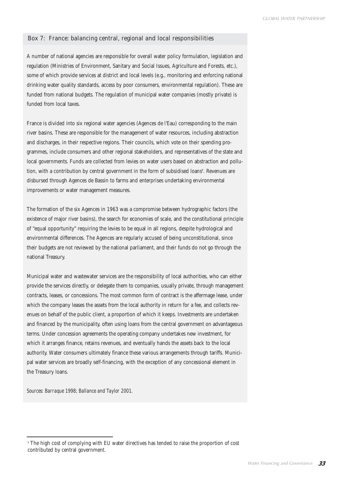#### Box 7: France: balancing central, regional and local responsibilities

A number of national agencies are responsible for overall water policy formulation, legislation and regulation (Ministries of Environment, Sanitary and Social Issues, Agriculture and Forests, etc.), some of which provide services at district and local levels (e.g., monitoring and enforcing national drinking water quality standards, access by poor consumers, environmental regulation). These are funded from national budgets. The regulation of municipal water companies (mostly private) is funded from local taxes.

France is divided into six regional water agencies (Agences de l'Eau) corresponding to the main river basins. These are responsible for the management of water resources, including abstraction and discharges, in their respective regions. Their councils, which vote on their spending programmes, include consumers and other regional stakeholders, and representatives of the state and local governments. Funds are collected from levies on water users based on abstraction and pollution, with a contribution by central government in the form of subsidised loans<sup>4</sup>. Revenues are disbursed through Agences de Bassin to farms and enterprises undertaking environmental improvements or water management measures.

The formation of the six Agences in 1963 was a compromise between hydrographic factors (the existence of major river basins), the search for economies of scale, and the constitutional principle of "equal opportunity" requiring the levies to be equal in all regions, despite hydrological and environmental differences. The Agences are regularly accused of being unconstitutional, since their budgets are not reviewed by the national parliament, and their funds do not go through the national Treasury.

Municipal water and wastewater services are the responsibility of local authorities, who can either provide the services directly, or delegate them to companies, usually private, through management contracts, leases, or concessions. The most common form of contract is the affermage lease, under which the company leases the assets from the local authority in return for a fee, and collects revenues on behalf of the public client, a proportion of which it keeps. Investments are undertaken and financed by the municipality, often using loans from the central government on advantageous terms. Under concession agreements the operating company undertakes new investment, for which it arranges finance, retains revenues, and eventually hands the assets back to the local authority. Water consumers ultimately finance these various arrangements through tariffs. Municipal water services are broadly self-financing, with the exception of any concessional element in the Treasury loans.

*Sources: Barraque 1998; Ballance and Taylor 2001.*

*<sup>4</sup>* The high cost of complying with EU water directives has tended to raise the proportion of cost contributed by central government.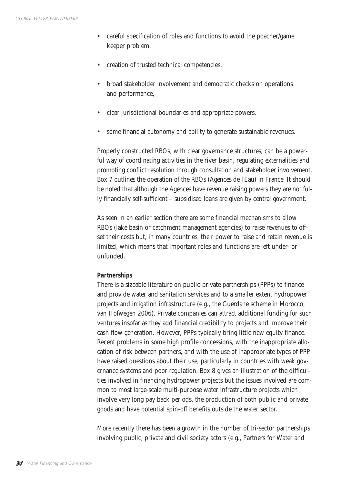- careful specification of roles and functions to avoid the poacher/game keeper problem,
- creation of trusted technical competencies,
- broad stakeholder involvement and democratic checks on operations and performance,
- clear jurisdictional boundaries and appropriate powers,
- some financial autonomy and ability to generate sustainable revenues.

Properly constructed RBOs, with clear governance structures, can be a powerful way of coordinating activities in the river basin, regulating externalities and promoting conflict resolution through consultation and stakeholder involvement. Box 7 outlines the operation of the RBOs (Agences de l'Eau) in France. It should be noted that although the Agences have revenue raising powers they are not fully financially self-sufficient – subsidised loans are given by central government.

As seen in an earlier section there are some financial mechanisms to allow RBOs (lake basin or catchment management agencies) to raise revenues to offset their costs but, in many countries, their power to raise and retain revenue is limited, which means that important roles and functions are left under- or unfunded.

### *Partnerships*

There is a sizeable literature on public-private partnerships (PPPs) to finance and provide water and sanitation services and to a smaller extent hydropower projects and irrigation infrastructure (e.g., the Guerdane scheme in Morocco, van Hofwegen 2006). Private companies can attract additional funding for such ventures insofar as they add financial credibility to projects and improve their cash flow generation. However, PPPs typically bring little new equity finance. Recent problems in some high profile concessions, with the inappropriate allocation of risk between partners, and with the use of inappropriate types of PPP have raised questions about their use, particularly in countries with weak governance systems and poor regulation. Box 8 gives an illustration of the difficulties involved in financing hydropower projects but the issues involved are common to most large-scale multi-purpose water infrastructure projects which involve very long pay back periods, the production of both public and private goods and have potential spin-off benefits outside the water sector.

More recently there has been a growth in the number of tri-sector partnerships involving public, private and civil society actors (e.g., Partners for Water and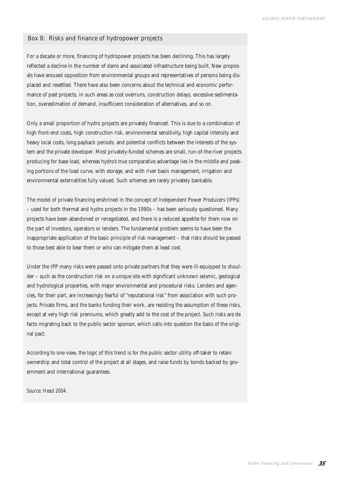#### Box 8: Risks and finance of hydropower projects

For a decade or more, financing of hydropower projects has been declining. This has largely reflected a decline in the number of dams and associated infrastructure being built. New proposals have aroused opposition from environmental groups and representatives of persons being displaced and resettled. There have also been concerns about the technical and economic performance of past projects, in such areas as cost overruns, construction delays, excessive sedimentation, overestimation of demand, insufficient consideration of alternatives, and so on.

Only a small proportion of hydro projects are privately financed. This is due to a combination of high front-end costs, high construction risk, environmental sensitivity, high capital intensity and heavy local costs, long payback periods, and potential conflicts between the interests of the system and the private developer. Most privately-funded schemes are small, run-of-the-river projects producing for base load, whereas hydro's true comparative advantage lies in the middle and peaking portions of the load curve, with storage, and with river basin management, irrigation and environmental externalities fully valued. Such schemes are rarely privately bankable.

The model of private financing enshrined in the concept of Independent Power Producers (IPPs) – used for both thermal and hydro projects in the 1990s – has been seriously questioned. Many projects have been abandoned or renegotiated, and there is a reduced appetite for them now on the part of investors, operators or lenders. The fundamental problem seems to have been the inappropriate application of the basic principle of risk management – that risks should be passed to those best able to bear them or who can mitigate them at least cost.

Under the IPP many risks were passed onto private partners that they were ill-equipped to shoulder – such as the construction risk on a unique site with significant unknown seismic, geological and hydrological properties, with major environmental and procedural risks. Lenders and agencies, for their part, are increasingly fearful of "reputational risk" from association with such projects. Private firms, and the banks funding their work, are resisting the assumption of these risks, except at very high risk premiums, which greatly add to the cost of the project. Such risks are de facto migrating back to the public sector sponsor, which calls into question the basis of the original pact.

According to one view, the logic of this trend is for the public sector utility off-taker to retain ownership and total control of the project at all stages, and raise funds by bonds backed by government and international guarantees.

*Source: Head 2004.*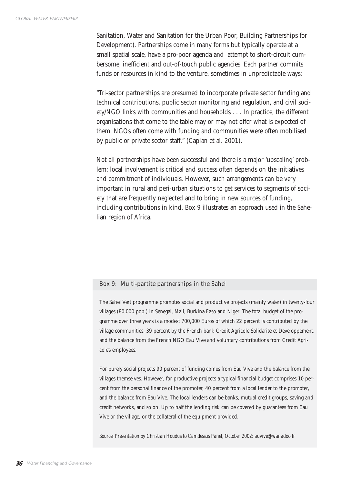Sanitation, Water and Sanitation for the Urban Poor, Building Partnerships for Development). Partnerships come in many forms but typically operate at a small spatial scale, have a pro-poor agenda and attempt to short-circuit cumbersome, inefficient and out-of-touch public agencies. Each partner commits funds or resources in kind to the venture, sometimes in unpredictable ways:

"Tri-sector partnerships are presumed to incorporate private sector funding and technical contributions, public sector monitoring and regulation, and civil society/NGO links with communities and households . . . In practice, the different organisations that come to the table may or may not offer what is expected of them. NGOs often come with funding and communities were often mobilised by public or private sector staff." (Caplan et al. 2001).

Not all partnerships have been successful and there is a major 'upscaling' problem; local involvement is critical and success often depends on the initiatives and commitment of individuals. However, such arrangements can be very important in rural and peri-urban situations to get services to segments of society that are frequently neglected and to bring in new sources of funding, including contributions in kind. Box 9 illustrates an approach used in the Sahelian region of Africa.

#### Box 9: Multi-partite partnerships in the Sahel

The Sahel Vert programme promotes social and productive projects (mainly water) in twenty-four villages (80,000 pop.) in Senegal, Mali, Burkina Faso and Niger. The total budget of the programme over three years is a modest 700,000 Euros of which 22 percent is contributed by the village communities, 39 percent by the French bank Credit Agricole Solidarite et Developpement, and the balance from the French NGO Eau Vive and voluntary contributions from Credit Agricole's employees.

For purely social projects 90 percent of funding comes from Eau Vive and the balance from the villages themselves. However, for productive projects a typical financial budget comprises 10 percent from the personal finance of the promoter, 40 percent from a local lender to the promoter, and the balance from Eau Vive. The local lenders can be banks, mutual credit groups, saving and credit networks, and so on. Up to half the lending risk can be covered by guarantees from Eau Vive or the village, or the collateral of the equipment provided.

*Source: Presentation by Christian Houdus to Camdessus Panel, October 2002: auvive@wanadoo.fr*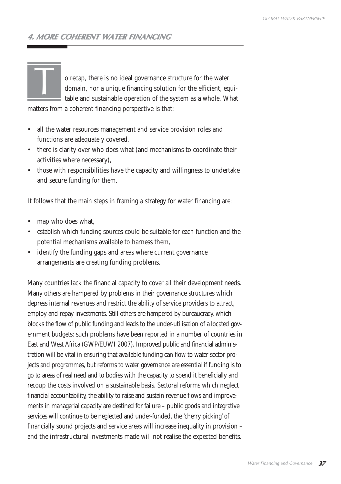## **4. MORE COHERENT WATER FINANCING**

o recap, there is no ideal governance structure for the water domain, nor a unique financing solution for the efficient, equitable and sustainable operation of the system as a whole. What

matters from a coherent financing perspective is that:

- all the water resources management and service provision roles and functions are adequately covered,
- there is clarity over who does what (and mechanisms to coordinate their activities where necessary),
- those with responsibilities have the capacity and willingness to undertake and secure funding for them.

It follows that the main steps in framing a strategy for water financing are:

map who does what,

 $\overline{1}$ 

- establish which funding sources could be suitable for each function and the potential mechanisms available to harness them,
- identify the funding gaps and areas where current governance arrangements are creating funding problems.

Many countries lack the financial capacity to cover all their development needs. Many others are hampered by problems in their governance structures which depress internal revenues and restrict the ability of service providers to attract, employ and repay investments. Still others are hampered by bureaucracy, which blocks the flow of public funding and leads to the under-utilisation of allocated government budgets; such problems have been reported in a number of countries in East and West Africa (GWP/EUWI 2007). Improved public and financial administration will be vital in ensuring that available funding can flow to water sector projects and programmes, but reforms to water governance are essential if funding is to go to areas of real need and to bodies with the capacity to spend it beneficially and recoup the costs involved on a sustainable basis. Sectoral reforms which neglect financial accountability, the ability to raise and sustain revenue flows and improvements in managerial capacity are destined for failure – public goods and integrative services will continue to be neglected and under-funded, the 'cherry picking' of financially sound projects and service areas will increase inequality in provision – and the infrastructural investments made will not realise the expected benefits.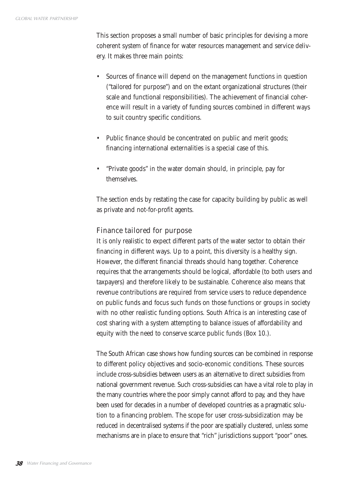This section proposes a small number of basic principles for devising a more coherent system of finance for water resources management and service delivery. It makes three main points:

- Sources of finance will depend on the management functions in question ("tailored for purpose") and on the extant organizational structures (their scale and functional responsibilities). The achievement of financial coherence will result in a variety of funding sources combined in different ways to suit country specific conditions.
- Public finance should be concentrated on public and merit goods; financing international externalities is a special case of this.
- "Private goods" in the water domain should, in principle, pay for themselves.

The section ends by restating the case for capacity building by public as well as private and not-for-profit agents.

## Finance tailored for purpose

It is only realistic to expect different parts of the water sector to obtain their financing in different ways. Up to a point, this diversity is a healthy sign. However, the different financial threads should hang together. Coherence requires that the arrangements should be logical, affordable (to both users and taxpayers) and therefore likely to be sustainable. Coherence also means that revenue contributions are required from service users to reduce dependence on public funds and focus such funds on those functions or groups in society with no other realistic funding options. South Africa is an interesting case of cost sharing with a system attempting to balance issues of affordability and equity with the need to conserve scarce public funds (Box 10.).

The South African case shows how funding sources can be combined in response to different policy objectives and socio-economic conditions. These sources include cross-subsidies between users as an alternative to direct subsidies from national government revenue. Such cross-subsidies can have a vital role to play in the many countries where the poor simply cannot afford to pay, and they have been used for decades in a number of developed countries as a pragmatic solution to a financing problem. The scope for user cross-subsidization may be reduced in decentralised systems if the poor are spatially clustered, unless some mechanisms are in place to ensure that "rich" jurisdictions support "poor" ones.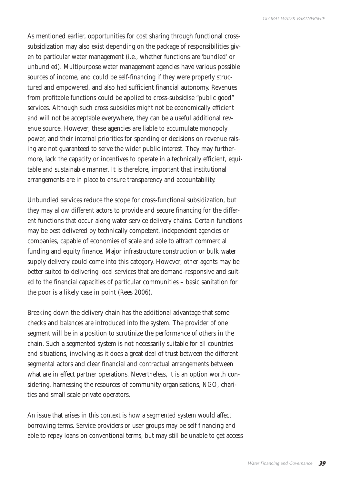As mentioned earlier, opportunities for cost sharing through functional crosssubsidization may also exist depending on the package of responsibilities given to particular water management (i.e., whether functions are 'bundled' or unbundled). Multipurpose water management agencies have various possible sources of income, and could be self-financing if they were properly structured and empowered, and also had sufficient financial autonomy. Revenues from profitable functions could be applied to cross-subsidise "public good" services. Although such cross subsidies might not be economically efficient and will not be acceptable everywhere, they can be a useful additional revenue source. However, these agencies are liable to accumulate monopoly power, and their internal priorities for spending or decisions on revenue raising are not guaranteed to serve the wider public interest. They may furthermore, lack the capacity or incentives to operate in a technically efficient, equitable and sustainable manner. It is therefore, important that institutional arrangements are in place to ensure transparency and accountability.

Unbundled services reduce the scope for cross-functional subsidization, but they may allow different actors to provide and secure financing for the different functions that occur along water service delivery chains. Certain functions may be best delivered by technically competent, independent agencies or companies, capable of economies of scale and able to attract commercial funding and equity finance. Major infrastructure construction or bulk water supply delivery could come into this category. However, other agents may be better suited to delivering local services that are demand-responsive and suited to the financial capacities of particular communities – basic sanitation for the poor is a likely case in point (Rees 2006).

Breaking down the delivery chain has the additional advantage that some checks and balances are introduced into the system. The provider of one segment will be in a position to scrutinize the performance of others in the chain. Such a segmented system is not necessarily suitable for all countries and situations, involving as it does a great deal of trust between the different segmental actors and clear financial and contractual arrangements between what are in effect partner operations. Nevertheless, it is an option worth considering, harnessing the resources of community organisations, NGO, charities and small scale private operators.

An issue that arises in this context is how a segmented system would affect borrowing terms. Service providers or user groups may be self financing and able to repay loans on conventional terms, but may still be unable to get access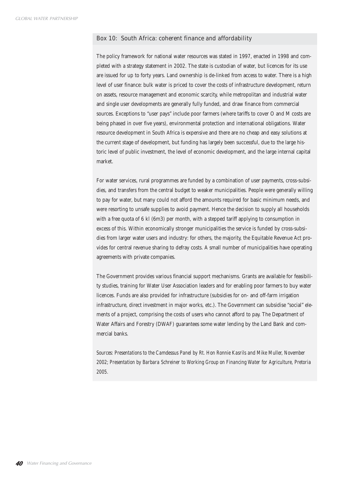#### Box 10: South Africa: coherent finance and affordability

The policy framework for national water resources was stated in 1997, enacted in 1998 and completed with a strategy statement in 2002. The state is custodian of water, but licences for its use are issued for up to forty years. Land ownership is de-linked from access to water. There is a high level of user finance: bulk water is priced to cover the costs of infrastructure development, return on assets, resource management and economic scarcity, while metropolitan and industrial water and single user developments are generally fully funded, and draw finance from commercial sources. Exceptions to "user pays" include poor farmers (where tariffs to cover O and M costs are being phased in over five years), environmental protection and international obligations. Water resource development in South Africa is expensive and there are no cheap and easy solutions at the current stage of development, but funding has largely been successful, due to the large historic level of public investment, the level of economic development, and the large internal capital market.

For water services, rural programmes are funded by a combination of user payments, cross-subsidies, and transfers from the central budget to weaker municipalities. People were generally willing to pay for water, but many could not afford the amounts required for basic minimum needs, and were resorting to unsafe supplies to avoid payment. Hence the decision to supply all households with a free quota of 6 kl (6m3) per month, with a stepped tariff applying to consumption in excess of this. Within economically stronger municipalities the service is funded by cross-subsidies from larger water users and industry: for others, the majority, the Equitable Revenue Act provides for central revenue sharing to defray costs. A small number of municipalities have operating agreements with private companies.

The Government provides various financial support mechanisms. Grants are available for feasibility studies, training for Water User Association leaders and for enabling poor farmers to buy water licences. Funds are also provided for infrastructure (subsidies for on- and off-farm irrigation infrastructure, direct investment in major works, etc.). The Government can subsidise "social" elements of a project, comprising the costs of users who cannot afford to pay. The Department of Water Affairs and Forestry (DWAF) guarantees some water lending by the Land Bank and commercial banks.

*Sources: Presentations to the Camdessus Panel by Rt. Hon Ronnie Kasrils and Mike Muller, November 2002; Presentation by Barbara Schreiner to Working Group on Financing Water for Agriculture, Pretoria 2005.*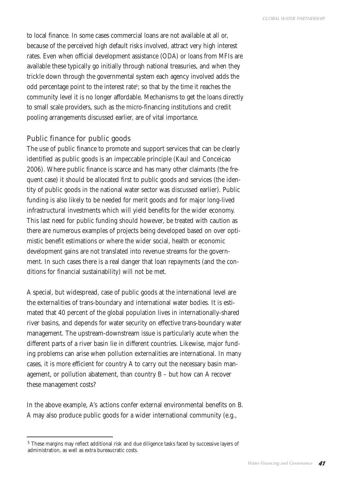to local finance. In some cases commercial loans are not available at all or, because of the perceived high default risks involved, attract very high interest rates. Even when official development assistance (ODA) or loans from MFIs are available these typically go initially through national treasuries, and when they trickle down through the governmental system each agency involved adds the odd percentage point to the interest rate<sup>s</sup>; so that by the time it reaches the community level it is no longer affordable. Mechanisms to get the loans directly to small scale providers, such as the micro-financing institutions and credit pooling arrangements discussed earlier, are of vital importance.

## Public finance for public goods

The use of public finance to promote and support services that can be clearly identified as public goods is an impeccable principle (Kaul and Conceicao 2006). Where public finance is scarce and has many other claimants (the frequent case) it should be allocated first to public goods and services (the identity of public goods in the national water sector was discussed earlier). Public funding is also likely to be needed for merit goods and for major long-lived infrastructural investments which will yield benefits for the wider economy. This last need for public funding should however, be treated with caution as there are numerous examples of projects being developed based on over optimistic benefit estimations or where the wider social, health or economic development gains are not translated into revenue streams for the government. In such cases there is a real danger that loan repayments (and the conditions for financial sustainability) will not be met.

A special, but widespread, case of public goods at the international level are the externalities of trans-boundary and international water bodies. It is estimated that 40 percent of the global population lives in internationally-shared river basins, and depends for water security on effective trans-boundary water management. The upstream-downstream issue is particularly acute when the different parts of a river basin lie in different countries. Likewise, major funding problems can arise when pollution externalities are international. In many cases, it is more efficient for country A to carry out the necessary basin management, or pollution abatement, than country B – but how can A recover these management costs?

In the above example, A's actions confer external environmental benefits on B. A may also produce public goods for a wider international community (e.g.,

<sup>5</sup> These margins may reflect additional risk and due diligence tasks faced by successive layers of administration, as well as extra bureaucratic costs.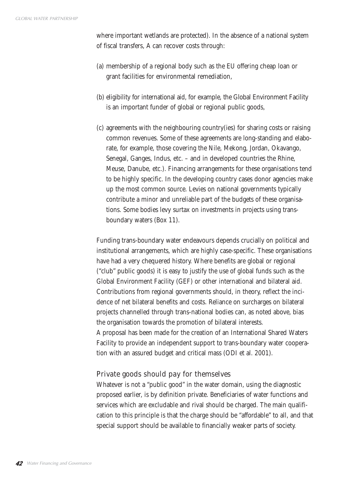where important wetlands are protected). In the absence of a national system of fiscal transfers, A can recover costs through:

- (a) membership of a regional body such as the EU offering cheap loan or grant facilities for environmental remediation,
- (b) eligibility for international aid, for example, the Global Environment Facility is an important funder of global or regional public goods,
- (c) agreements with the neighbouring country(ies) for sharing costs or raising common revenues. Some of these agreements are long-standing and elaborate, for example, those covering the Nile, Mekong, Jordan, Okavango, Senegal, Ganges, Indus, etc. – and in developed countries the Rhine, Meuse, Danube, etc.). Financing arrangements for these organisations tend to be highly specific. In the developing country cases donor agencies make up the most common source. Levies on national governments typically contribute a minor and unreliable part of the budgets of these organisations. Some bodies levy surtax on investments in projects using transboundary waters (Box 11).

Funding trans-boundary water endeavours depends crucially on political and institutional arrangements, which are highly case-specific. These organisations have had a very chequered history. Where benefits are global or regional ("club" public goods) it is easy to justify the use of global funds such as the Global Environment Facility (GEF) or other international and bilateral aid. Contributions from regional governments should, in theory, reflect the incidence of net bilateral benefits and costs. Reliance on surcharges on bilateral projects channelled through trans-national bodies can, as noted above, bias the organisation towards the promotion of bilateral interests. A proposal has been made for the creation of an International Shared Waters Facility to provide an independent support to trans-boundary water cooperation with an assured budget and critical mass (ODI et al. 2001).

## Private goods should pay for themselves

Whatever is not a "public good" in the water domain, using the diagnostic proposed earlier, is by definition private. Beneficiaries of water functions and services which are excludable and rival should be charged. The main qualification to this principle is that the charge should be "affordable" to all, and that special support should be available to financially weaker parts of society.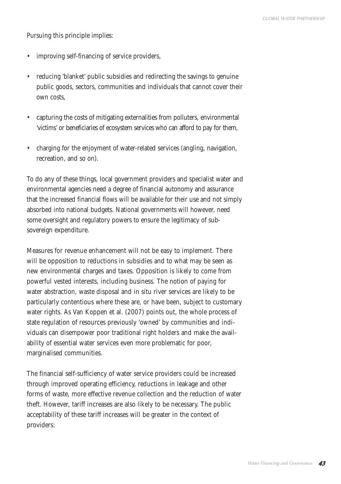Pursuing this principle implies:

- improving self-financing of service providers,
- reducing 'blanket' public subsidies and redirecting the savings to genuine public goods, sectors, communities and individuals that cannot cover their own costs,
- capturing the costs of mitigating externalities from polluters, environmental 'victims' or beneficiaries of ecosystem services who can afford to pay for them,
- charging for the enjoyment of water-related services (angling, navigation, recreation, and so on).

To do any of these things, local government providers and specialist water and environmental agencies need a degree of financial autonomy and assurance that the increased financial flows will be available for their use and not simply absorbed into national budgets. National governments will however, need some oversight and regulatory powers to ensure the legitimacy of subsovereign expenditure.

Measures for revenue enhancement will not be easy to implement. There will be opposition to reductions in subsidies and to what may be seen as new environmental charges and taxes. Opposition is likely to come from powerful vested interests, including business. The notion of paying for water abstraction, waste disposal and in situ river services are likely to be particularly contentious where these are, or have been, subject to customary water rights. As Van Koppen et al. (2007) points out, the whole process of state regulation of resources previously 'owned' by communities and individuals can disempower poor traditional right holders and make the availability of essential water services even more problematic for poor, marginalised communities.

The financial self-sufficiency of water service providers could be increased through improved operating efficiency, reductions in leakage and other forms of waste, more effective revenue collection and the reduction of water theft. However, tariff increases are also likely to be necessary. The public acceptability of these tariff increases will be greater in the context of providers: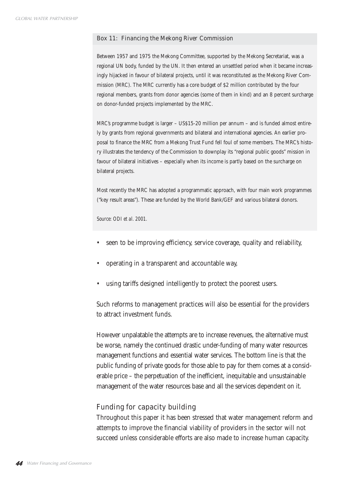#### Box 11: Financing the Mekong River Commission

Between 1957 and 1975 the Mekong Committee, supported by the Mekong Secretariat, was a regional UN body, funded by the UN. It then entered an unsettled period when it became increasingly hijacked in favour of bilateral projects, until it was reconstituted as the Mekong River Commission (MRC). The MRC currently has a core budget of \$2 million contributed by the four regional members, grants from donor agencies (some of them in kind) and an 8 percent surcharge on donor-funded projects implemented by the MRC.

MRC's programme budget is larger – US\$15-20 million per annum – and is funded almost entirely by grants from regional governments and bilateral and international agencies. An earlier proposal to finance the MRC from a Mekong Trust Fund fell foul of some members. The MRC's history illustrates the tendency of the Commission to downplay its "regional public goods" mission in favour of bilateral initiatives – especially when its income is partly based on the surcharge on bilateral projects.

Most recently the MRC has adopted a programmatic approach, with four main work programmes ("key result areas"). These are funded by the World Bank/GEF and various bilateral donors.

*Source: ODI et al. 2001.*

- seen to be improving efficiency, service coverage, quality and reliability,
- operating in a transparent and accountable way,
- using tariffs designed intelligently to protect the poorest users.

Such reforms to management practices will also be essential for the providers to attract investment funds.

However unpalatable the attempts are to increase revenues, the alternative must be worse, namely the continued drastic under-funding of many water resources management functions and essential water services. The bottom line is that the public funding of private goods for those able to pay for them comes at a considerable price – the perpetuation of the inefficient, inequitable and unsustainable management of the water resources base and all the services dependent on it.

### Funding for capacity building

Throughout this paper it has been stressed that water management reform and attempts to improve the financial viability of providers in the sector will not succeed unless considerable efforts are also made to increase human capacity.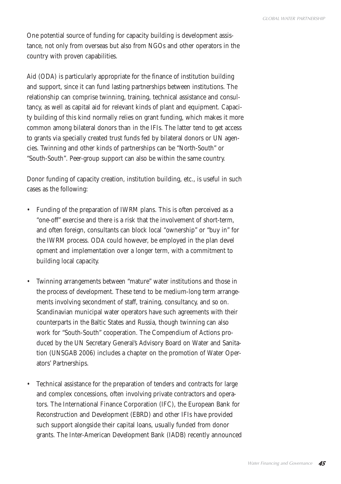One potential source of funding for capacity building is development assistance, not only from overseas but also from NGOs and other operators in the country with proven capabilities.

Aid (ODA) is particularly appropriate for the finance of institution building and support, since it can fund lasting partnerships between institutions. The relationship can comprise twinning, training, technical assistance and consultancy, as well as capital aid for relevant kinds of plant and equipment. Capacity building of this kind normally relies on grant funding, which makes it more common among bilateral donors than in the IFIs. The latter tend to get access to grants via specially created trust funds fed by bilateral donors or UN agencies. Twinning and other kinds of partnerships can be "North-South" or "South-South". Peer-group support can also be within the same country.

Donor funding of capacity creation, institution building, etc., is useful in such cases as the following:

- Funding of the preparation of IWRM plans. This is often perceived as a "one-off" exercise and there is a risk that the involvement of short-term, and often foreign, consultants can block local "ownership" or "buy in" for the IWRM process. ODA could however, be employed in the plan devel opment and implementation over a longer term, with a commitment to building local capacity.
- Twinning arrangements between "mature" water institutions and those in the process of development. These tend to be medium-long term arrangements involving secondment of staff, training, consultancy, and so on. Scandinavian municipal water operators have such agreements with their counterparts in the Baltic States and Russia, though twinning can also work for "South-South" cooperation. The Compendium of Actions produced by the UN Secretary General's Advisory Board on Water and Sanitation (UNSGAB 2006) includes a chapter on the promotion of Water Operators' Partnerships.
- Technical assistance for the preparation of tenders and contracts for large and complex concessions, often involving private contractors and operators. The International Finance Corporation (IFC), the European Bank for Reconstruction and Development (EBRD) and other IFIs have provided such support alongside their capital loans, usually funded from donor grants. The Inter-American Development Bank (IADB) recently announced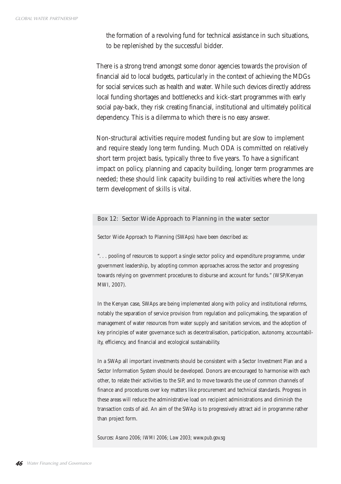the formation of a revolving fund for technical assistance in such situations, to be replenished by the successful bidder.

There is a strong trend amongst some donor agencies towards the provision of financial aid to local budgets, particularly in the context of achieving the MDGs for social services such as health and water. While such devices directly address local funding shortages and bottlenecks and kick-start programmes with early social pay-back, they risk creating financial, institutional and ultimately political dependency. This is a dilemma to which there is no easy answer.

Non-structural activities require modest funding but are slow to implement and require steady long term funding. Much ODA is committed on relatively short term project basis, typically three to five years. To have a significant impact on policy, planning and capacity building, longer term programmes are needed; these should link capacity building to real activities where the long term development of skills is vital.

### Box 12: Sector Wide Approach to Planning in the water sector

Sector Wide Approach to Planning (SWAps) have been described as:

". . . pooling of resources to support a single sector policy and expenditure programme, under government leadership, by adopting common approaches across the sector and progressing towards relying on government procedures to disburse and account for funds." (WSP/Kenyan MWI, 2007).

In the Kenyan case, SWAps are being implemented along with policy and institutional reforms, notably the separation of service provision from regulation and policymaking, the separation of management of water resources from water supply and sanitation services, and the adoption of key principles of water governance such as decentralisation, participation, autonomy, accountability, efficiency, and financial and ecological sustainability.

In a SWAp all important investments should be consistent with a Sector Investment Plan and a Sector Information System should be developed. Donors are encouraged to harmonise with each other, to relate their activities to the SIP, and to move towards the use of common channels of finance and procedures over key matters like procurement and technical standards. Progress in these areas will reduce the administrative load on recipient administrations and diminish the transaction costs of aid. An aim of the SWAp is to progressively attract aid in programme rather than project form.

*Sources: Asano 2006; IWMI 2006; Law 2003; www.pub.gov.sg*

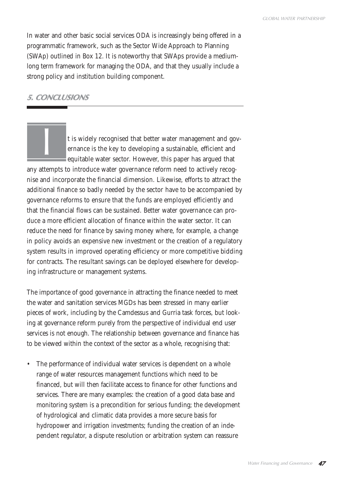In water and other basic social services ODA is increasingly being offered in a programmatic framework, such as the Sector Wide Approach to Planning (SWAp) outlined in Box 12. It is noteworthy that SWAps provide a mediumlong term framework for managing the ODA, and that they usually include a strong policy and institution building component.

## **5. CONCLUSIONS**

t is widely recognised that better water management and governance is the key to developing a sustainable, efficient and equitable water sector. However, this paper has argued that any attempts to introduce water governance reform need to actively recognise and incorporate the financial dimension. Likewise, efforts to attract the additional finance so badly needed by the sector have to be accompanied by governance reforms to ensure that the funds are employed efficiently and that the financial flows can be sustained. Better water governance can produce a more efficient allocation of finance within the water sector. It can reduce the need for finance by saving money where, for example, a change in policy avoids an expensive new investment or the creation of a regulatory system results in improved operating efficiency or more competitive bidding for contracts. The resultant savings can be deployed elsewhere for developing infrastructure or management systems. I

The importance of good governance in attracting the finance needed to meet the water and sanitation services MGDs has been stressed in many earlier pieces of work, including by the Camdessus and Gurria task forces, but looking at governance reform purely from the perspective of individual end user services is not enough. The relationship between governance and finance has to be viewed within the context of the sector as a whole, recognising that:

The performance of individual water services is dependent on a whole range of water resources management functions which need to be financed, but will then facilitate access to finance for other functions and services. There are many examples: the creation of a good data base and monitoring system is a precondition for serious funding; the development of hydrological and climatic data provides a more secure basis for hydropower and irrigation investments; funding the creation of an independent regulator, a dispute resolution or arbitration system can reassure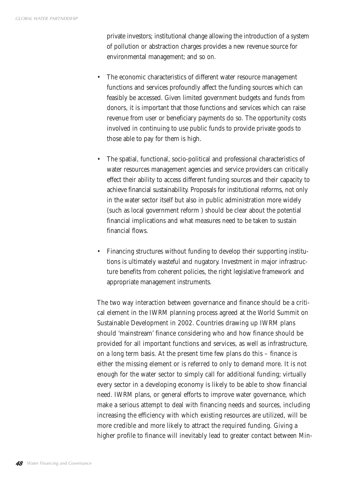private investors; institutional change allowing the introduction of a system of pollution or abstraction charges provides a new revenue source for environmental management; and so on.

- The economic characteristics of different water resource management functions and services profoundly affect the funding sources which can feasibly be accessed. Given limited government budgets and funds from donors, it is important that those functions and services which can raise revenue from user or beneficiary payments do so. The opportunity costs involved in continuing to use public funds to provide private goods to those able to pay for them is high.
- The spatial, functional, socio-political and professional characteristics of water resources management agencies and service providers can critically effect their ability to access different funding sources and their capacity to achieve financial sustainability. Proposals for institutional reforms, not only in the water sector itself but also in public administration more widely (such as local government reform ) should be clear about the potential financial implications and what measures need to be taken to sustain financial flows.
- Financing structures without funding to develop their supporting institutions is ultimately wasteful and nugatory. Investment in major infrastructure benefits from coherent policies, the right legislative framework and appropriate management instruments.

The two way interaction between governance and finance should be a critical element in the IWRM planning process agreed at the World Summit on Sustainable Development in 2002. Countries drawing up IWRM plans should 'mainstream' finance considering who and how finance should be provided for all important functions and services, as well as infrastructure, on a long term basis. At the present time few plans do this – finance is either the missing element or is referred to only to demand more. It is not enough for the water sector to simply call for additional funding; virtually every sector in a developing economy is likely to be able to show financial need. IWRM plans, or general efforts to improve water governance, which make a serious attempt to deal with financing needs and sources, including increasing the efficiency with which existing resources are utilized, will be more credible and more likely to attract the required funding. Giving a higher profile to finance will inevitably lead to greater contact between Min-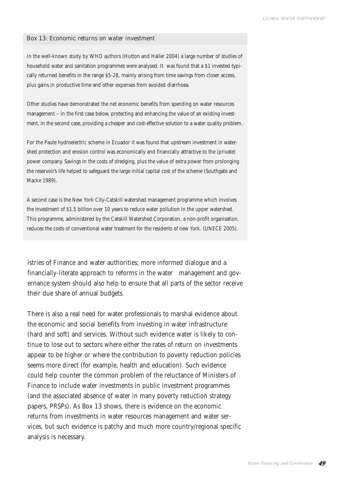#### Box 13: Economic returns on water investment

In the well-known study by WHO authors (Hutton and Haller 2004) a large number of studies of household water and sanitation programmes were analysed. It was found that a \$1 invested typically returned benefits in the range \$5-28, mainly arising from time savings from closer access, plus gains in productive time and other expenses from avoided diarrhoea.

Other studies have demonstrated the net economic benefits from spending on water resources management – in the first case below, protecting and enhancing the value of an existing investment, in the second case, providing a cheaper and cost-effective solution to a water quality problem.

For the Paute hydroelectric scheme in Ecuador it was found that upstream investment in watershed protection and erosion control was economically and financially attractive to the (private) power company. Savings in the costs of dredging, plus the value of extra power from prolonging the reservoir's life helped to safeguard the large initial capital cost of the scheme (Southgate and Macke 1989).

A second case is the New York City-Catskill watershed management programme which involves the investment of \$1.5 billion over 10 years to reduce water pollution in the upper watershed. This programme, administered by the Catskill Watershed Corporation, a non-profit organisation, reduces the costs of conventional water treatment for the residents of new York. (UNECE 2005).

istries of Finance and water authorities; more informed dialogue and a financially-literate approach to reforms in the water management and governance system should also help to ensure that all parts of the sector receive their due share of annual budgets.

There is also a real need for water professionals to marshal evidence about the economic and social benefits from investing in water infrastructure (hard and soft) and services. Without such evidence water is likely to continue to lose out to sectors where either the rates of return on investments appear to be higher or where the contribution to poverty reduction policies seems more direct (for example, health and education). Such evidence could help counter the common problem of the reluctance of Ministers of Finance to include water investments in public investment programmes (and the associated absence of water in many poverty reduction strategy papers, PRSPs). As Box 13 shows, there is evidence on the economic returns from investments in water resources management and water services, but such evidence is patchy and much more country/regional specific analysis is necessary.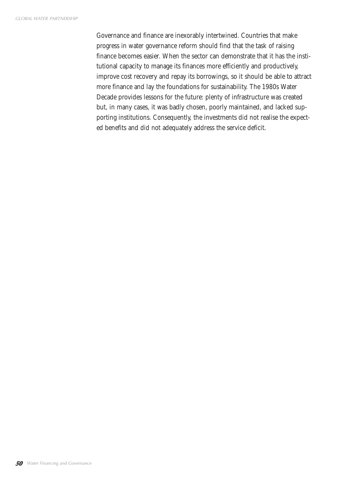Governance and finance are inexorably intertwined. Countries that make progress in water governance reform should find that the task of raising finance becomes easier. When the sector can demonstrate that it has the institutional capacity to manage its finances more efficiently and productively, improve cost recovery and repay its borrowings, so it should be able to attract more finance and lay the foundations for sustainability. The 1980s Water Decade provides lessons for the future: plenty of infrastructure was created but, in many cases, it was badly chosen, poorly maintained, and lacked supporting institutions. Consequently, the investments did not realise the expected benefits and did not adequately address the service deficit.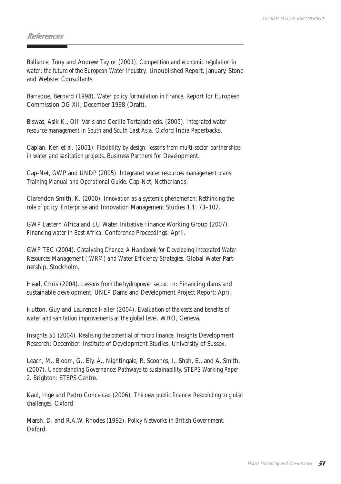## **References**

Ballance, Tony and Andrew Taylor (2001). *Competition and economic regulation in water: the future of the European Water Industry*. Unpublished Report; January. Stone and Webster Consultants.

Barraque, Bernard (1998). *Water policy formulation in France.* Report for European Commission DG XII; December 1998 (Draft).

Biswas, Asik K., Olli Varis and Cecilia Tortajada eds. (2005). *Integrated water resource management in South and South East Asia.* Oxford India Paperbacks.

Caplan, Ken et al. (2001). *Flexibility by design: lessons from multi-sector partnerships in water and sanitation projects.* Business Partners for Development.

Cap-Net, GWP and UNDP (2005). *Integrated water resources management plans: Training Manual and Operational Guide.* Cap-Net, Netherlands.

Clarendon Smith, K. (2000). *Innovation as a systemic phenomenon: Rethinking the role of policy.* Enterprise and Innovation Management Studies 1.1: 73–102.

GWP Eastern Africa and EU Water Initiative Finance Working Group (2007). *Financing water in East Africa.* Conference Proceedings: April.

GWP TEC (2004). *Catalysing Change: A Handbook for Developing Integrated Water Resources Management (IWRM) and Water Efficiency Strategies.* Global Water Partnership, Stockholm.

Head, Chris (2004). *Lessons from the hydropower sector.* In: Financing dams and sustainable development; UNEP Dams and Development Project Report: April.

Hutton, Guy and Laurence Haller (2004). *Evaluation of the costs and benefits of water and sanitation improvements at the global level.* WHO, Geneva.

Insights 51 (2004). *Realising the potential of micro finance.* Insights Development Research: December. Institute of Development Studies, University of Sussex.

Leach, M., Bloom, G., Ely, A., Nightingale, P., Scoones, I., Shah, E., and A. Smith, (2007). *Understanding Governance: Pathways to sustainability. STEPS Working Paper 2.* Brighton: STEPS Centre.

Kaul, Inge and Pedro Conceicao (2006). *The new public finance: Responding to global challenges.* Oxford.

Marsh, D. and R.A.W. Rhodes (1992). *Policy Networks in British Government.* Oxford.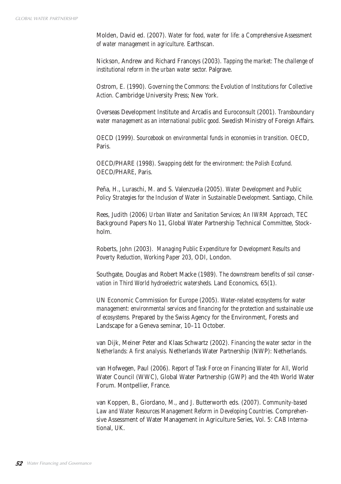Molden, David ed. (2007). *Water for food, water for life: a Comprehensive Assessment of water management in agriculture.* Earthscan.

Nickson, Andrew and Richard Franceys (2003). *Tapping the market: The challenge of institutional reform in the urban water sector.* Palgrave.

Ostrom, E. (1990). *Governing the Commons: the Evolution of Institutions for Collective Action.* Cambridge University Press; New York.

Overseas Development Institute and Arcadis and Euroconsult (2001). *Transboundary water management as an international public good.* Swedish Ministry of Foreign Affairs.

OECD (1999). *Sourcebook on environmental funds in economies in transition.* OECD, Paris.

OECD/PHARE (1998). *Swapping debt for the environment: the Polish Ecofund.* OECD/PHARE, Paris.

Peña, H., Luraschi, M. and S. Valenzuela (2005). *Water Development and Public Policy Strategies for the Inclusion of Water in Sustainable Development.* Santiago, Chile.

Rees, Judith (2006) *Urban Water and Sanitation Services; An IWRM Approach,* TEC Background Papers No 11, Global Water Partnership Technical Committee, Stockholm.

Roberts, John (2003). *Managing Public Expenditure for Development Results and Poverty Reduction, Working Paper 203,* ODI, London.

Southgate, Douglas and Robert Macke (1989). *The downstream benefits of soil conservation in Third World hydroelectric watersheds.* Land Economics, 65(1).

UN Economic Commission for Europe (2005). *Water-related ecosystems for water management: environmental services and financing for the protection and sustainable use of ecosystems.* Prepared by the Swiss Agency for the Environment, Forests and Landscape for a Geneva seminar, 10–11 October.

van Dijk, Meiner Peter and Klaas Schwartz (2002). *Financing the water sector in the Netherlands: A first analysis.* Netherlands Water Partnership (NWP): Netherlands.

van Hofwegen, Paul (2006). *Report of Task Force on Financing Water for All,* World Water Council (WWC), Global Water Partnership (GWP) and the 4th World Water Forum. Montpellier, France.

van Koppen, B., Giordano, M., and J. Butterworth eds. (2007). *Community-based Law and Water Resources Management Reform in Developing Countries.* Comprehensive Assessment of Water Management in Agriculture Series, Vol. 5: CAB International, UK.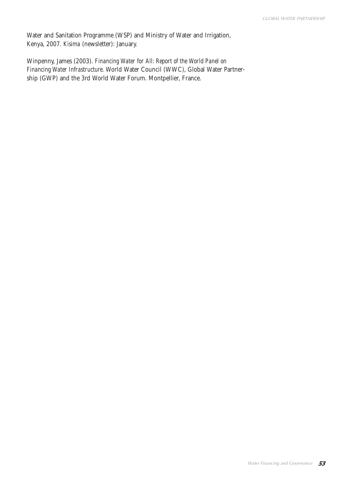Water and Sanitation Programme (WSP) and Ministry of Water and Irrigation, Kenya, 2007. *Kisima* (newsletter): January.

Winpenny, James (2003). *Financing Water for All: Report of the World Panel on Financing Water Infrastructure.* World Water Council (WWC), Global Water Partnership (GWP) and the 3rd World Water Forum. Montpellier, France.